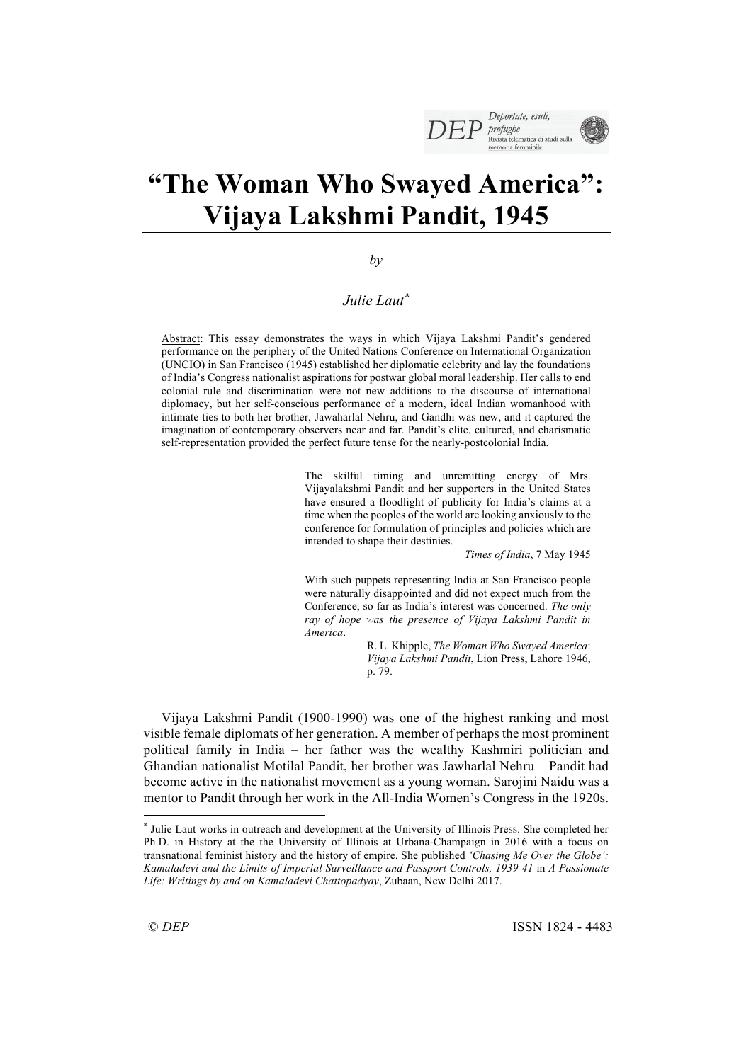# **"The Woman Who Swayed America": Vijaya Lakshmi Pandit, 1945**

# *by*

# *Julie Laut*\*

Abstract: This essay demonstrates the ways in which Vijaya Lakshmi Pandit's gendered performance on the periphery of the United Nations Conference on International Organization (UNCIO) in San Francisco (1945) established her diplomatic celebrity and lay the foundations of India's Congress nationalist aspirations for postwar global moral leadership. Her calls to end colonial rule and discrimination were not new additions to the discourse of international diplomacy, but her self-conscious performance of a modern, ideal Indian womanhood with intimate ties to both her brother, Jawaharlal Nehru, and Gandhi was new, and it captured the imagination of contemporary observers near and far. Pandit's elite, cultured, and charismatic self-representation provided the perfect future tense for the nearly-postcolonial India.

> The skilful timing and unremitting energy of Mrs. Vijayalakshmi Pandit and her supporters in the United States have ensured a floodlight of publicity for India's claims at a time when the peoples of the world are looking anxiously to the conference for formulation of principles and policies which are intended to shape their destinies.

> > *Times of India*, 7 May 1945

With such puppets representing India at San Francisco people were naturally disappointed and did not expect much from the Conference, so far as India's interest was concerned. *The only ray of hope was the presence of Vijaya Lakshmi Pandit in America*.

> R. L. Khipple, *The Woman Who Swayed America*: *Vijaya Lakshmi Pandit*, Lion Press, Lahore 1946, p. 79.

Vijaya Lakshmi Pandit (1900-1990) was one of the highest ranking and most visible female diplomats of her generation. A member of perhaps the most prominent political family in India – her father was the wealthy Kashmiri politician and Ghandian nationalist Motilal Pandit, her brother was Jawharlal Nehru – Pandit had become active in the nationalist movement as a young woman. Sarojini Naidu was a mentor to Pandit through her work in the All-India Women's Congress in the 1920s.

 $\overline{a}$ 

<sup>\*</sup> Julie Laut works in outreach and development at the University of Illinois Press. She completed her Ph.D. in History at the the University of Illinois at Urbana-Champaign in 2016 with a focus on transnational feminist history and the history of empire. She published *'Chasing Me Over the Globe': Kamaladevi and the Limits of Imperial Surveillance and Passport Controls, 1939-41* in *A Passionate Life: Writings by and on Kamaladevi Chattopadyay*, Zubaan, New Delhi 2017.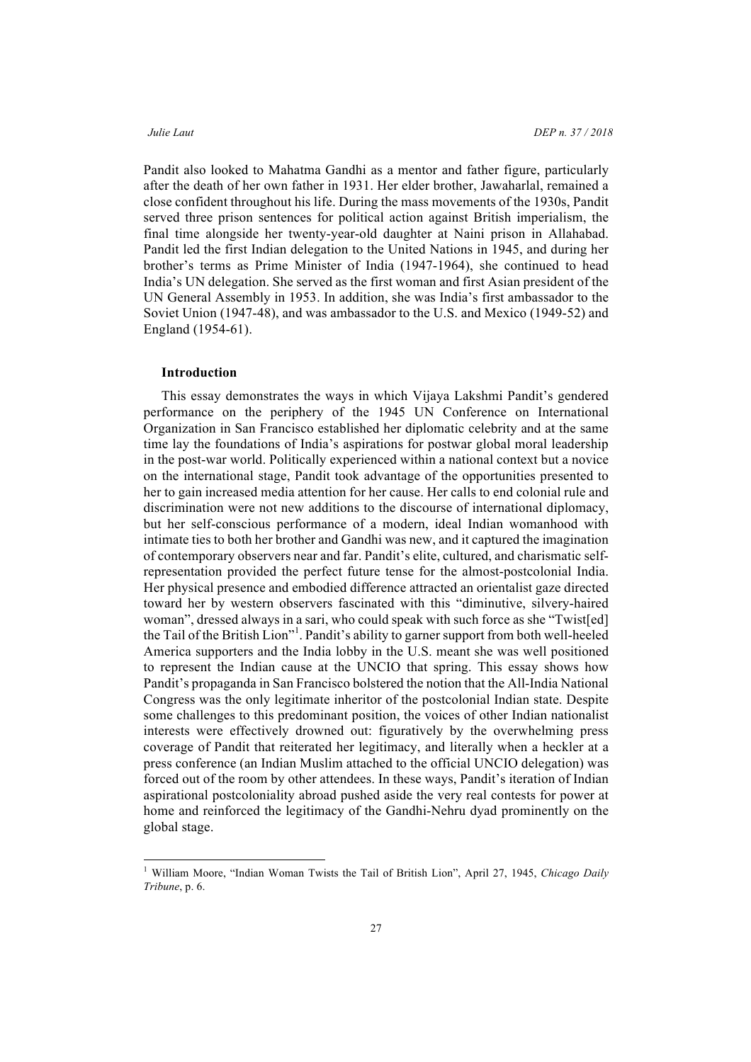Pandit also looked to Mahatma Gandhi as a mentor and father figure, particularly after the death of her own father in 1931. Her elder brother, Jawaharlal, remained a close confident throughout his life. During the mass movements of the 1930s, Pandit served three prison sentences for political action against British imperialism, the final time alongside her twenty-year-old daughter at Naini prison in Allahabad. Pandit led the first Indian delegation to the United Nations in 1945, and during her brother's terms as Prime Minister of India (1947-1964), she continued to head India's UN delegation. She served as the first woman and first Asian president of the UN General Assembly in 1953. In addition, she was India's first ambassador to the Soviet Union (1947-48), and was ambassador to the U.S. and Mexico (1949-52) and England (1954-61).

### **Introduction**

This essay demonstrates the ways in which Vijaya Lakshmi Pandit's gendered performance on the periphery of the 1945 UN Conference on International Organization in San Francisco established her diplomatic celebrity and at the same time lay the foundations of India's aspirations for postwar global moral leadership in the post-war world. Politically experienced within a national context but a novice on the international stage, Pandit took advantage of the opportunities presented to her to gain increased media attention for her cause. Her calls to end colonial rule and discrimination were not new additions to the discourse of international diplomacy, but her self-conscious performance of a modern, ideal Indian womanhood with intimate ties to both her brother and Gandhi was new, and it captured the imagination of contemporary observers near and far. Pandit's elite, cultured, and charismatic selfrepresentation provided the perfect future tense for the almost-postcolonial India. Her physical presence and embodied difference attracted an orientalist gaze directed toward her by western observers fascinated with this "diminutive, silvery-haired woman", dressed always in a sari, who could speak with such force as she "Twist[ed] the Tail of the British Lion"<sup>1</sup>. Pandit's ability to garner support from both well-heeled America supporters and the India lobby in the U.S. meant she was well positioned to represent the Indian cause at the UNCIO that spring. This essay shows how Pandit's propaganda in San Francisco bolstered the notion that the All-India National Congress was the only legitimate inheritor of the postcolonial Indian state. Despite some challenges to this predominant position, the voices of other Indian nationalist interests were effectively drowned out: figuratively by the overwhelming press coverage of Pandit that reiterated her legitimacy, and literally when a heckler at a press conference (an Indian Muslim attached to the official UNCIO delegation) was forced out of the room by other attendees. In these ways, Pandit's iteration of Indian aspirational postcoloniality abroad pushed aside the very real contests for power at home and reinforced the legitimacy of the Gandhi-Nehru dyad prominently on the global stage.

 <sup>1</sup> William Moore, "Indian Woman Twists the Tail of British Lion", April 27, 1945, *Chicago Daily Tribune*, p. 6.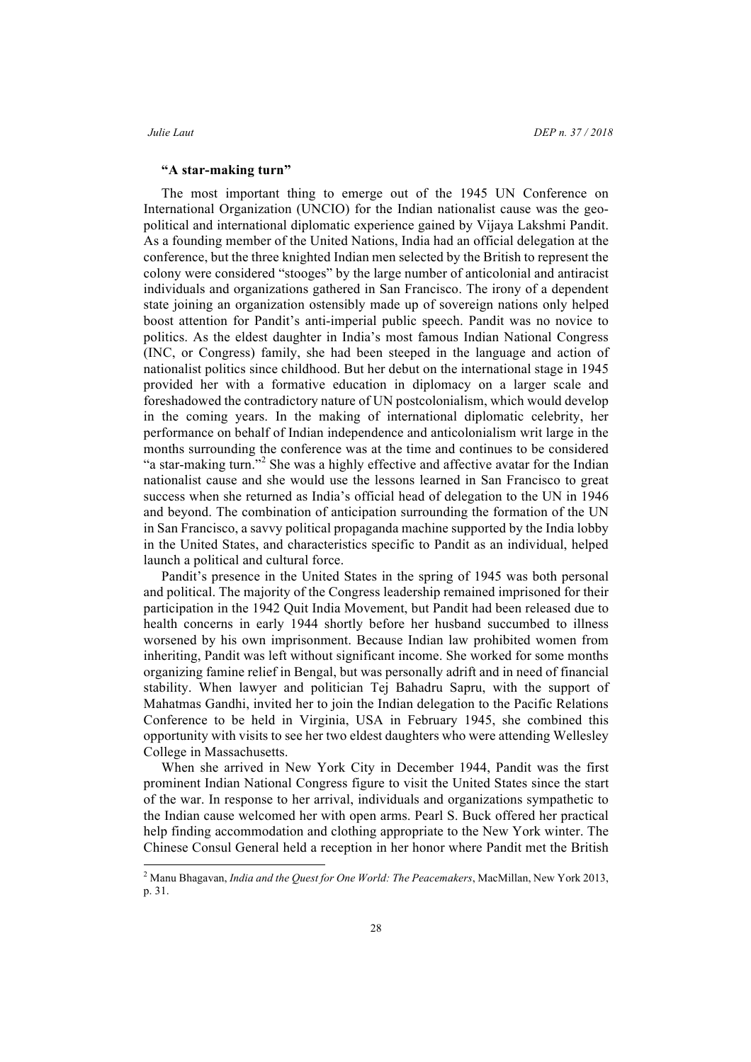### *Julie Laut DEP n. 37 / 2018*

### **"A star-making turn"**

The most important thing to emerge out of the 1945 UN Conference on International Organization (UNCIO) for the Indian nationalist cause was the geopolitical and international diplomatic experience gained by Vijaya Lakshmi Pandit. As a founding member of the United Nations, India had an official delegation at the conference, but the three knighted Indian men selected by the British to represent the colony were considered "stooges" by the large number of anticolonial and antiracist individuals and organizations gathered in San Francisco. The irony of a dependent state joining an organization ostensibly made up of sovereign nations only helped boost attention for Pandit's anti-imperial public speech. Pandit was no novice to politics. As the eldest daughter in India's most famous Indian National Congress (INC, or Congress) family, she had been steeped in the language and action of nationalist politics since childhood. But her debut on the international stage in 1945 provided her with a formative education in diplomacy on a larger scale and foreshadowed the contradictory nature of UN postcolonialism, which would develop in the coming years. In the making of international diplomatic celebrity, her performance on behalf of Indian independence and anticolonialism writ large in the months surrounding the conference was at the time and continues to be considered "a star-making turn."<sup>2</sup> She was a highly effective and affective avatar for the Indian nationalist cause and she would use the lessons learned in San Francisco to great success when she returned as India's official head of delegation to the UN in 1946 and beyond. The combination of anticipation surrounding the formation of the UN in San Francisco, a savvy political propaganda machine supported by the India lobby in the United States, and characteristics specific to Pandit as an individual, helped launch a political and cultural force.

Pandit's presence in the United States in the spring of 1945 was both personal and political. The majority of the Congress leadership remained imprisoned for their participation in the 1942 Quit India Movement, but Pandit had been released due to health concerns in early 1944 shortly before her husband succumbed to illness worsened by his own imprisonment. Because Indian law prohibited women from inheriting, Pandit was left without significant income. She worked for some months organizing famine relief in Bengal, but was personally adrift and in need of financial stability. When lawyer and politician Tej Bahadru Sapru, with the support of Mahatmas Gandhi, invited her to join the Indian delegation to the Pacific Relations Conference to be held in Virginia, USA in February 1945, she combined this opportunity with visits to see her two eldest daughters who were attending Wellesley College in Massachusetts.

When she arrived in New York City in December 1944, Pandit was the first prominent Indian National Congress figure to visit the United States since the start of the war. In response to her arrival, individuals and organizations sympathetic to the Indian cause welcomed her with open arms. Pearl S. Buck offered her practical help finding accommodation and clothing appropriate to the New York winter. The Chinese Consul General held a reception in her honor where Pandit met the British

 <sup>2</sup> Manu Bhagavan, *India and the Quest for One World: The Peacemakers*, MacMillan, New York 2013, p. 31.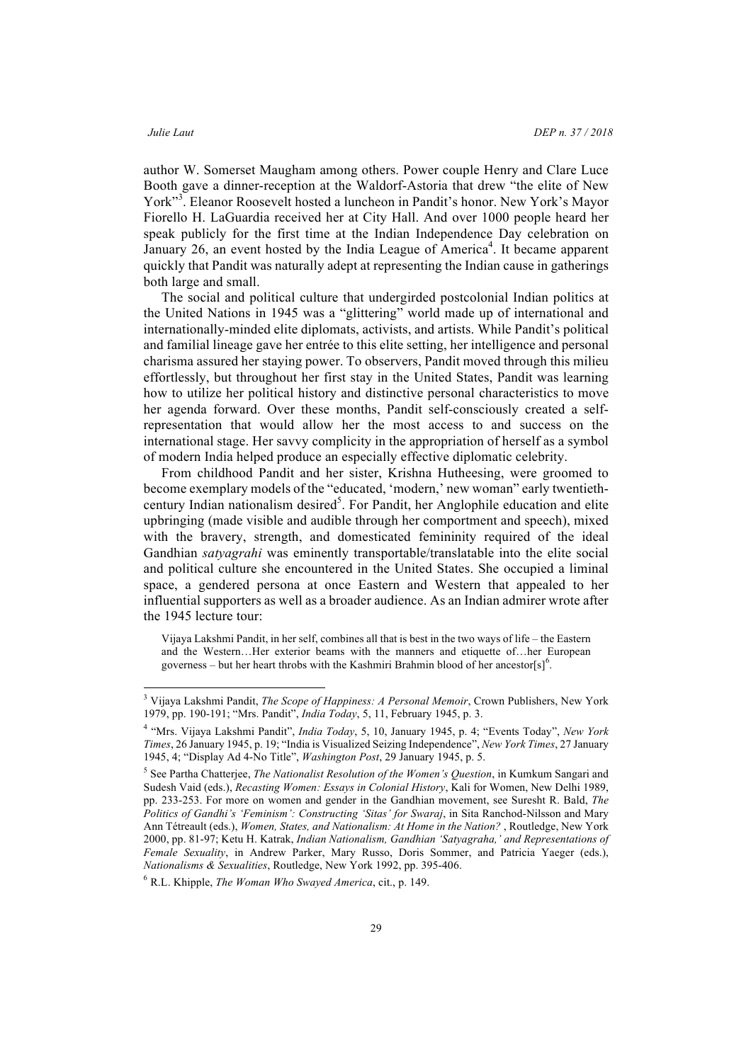author W. Somerset Maugham among others. Power couple Henry and Clare Luce Booth gave a dinner-reception at the Waldorf-Astoria that drew "the elite of New York"<sup>3</sup>. Eleanor Roosevelt hosted a luncheon in Pandit's honor. New York's Mayor Fiorello H. LaGuardia received her at City Hall. And over 1000 people heard her speak publicly for the first time at the Indian Independence Day celebration on January 26, an event hosted by the India League of America<sup>4</sup>. It became apparent quickly that Pandit was naturally adept at representing the Indian cause in gatherings both large and small.

The social and political culture that undergirded postcolonial Indian politics at the United Nations in 1945 was a "glittering" world made up of international and internationally-minded elite diplomats, activists, and artists. While Pandit's political and familial lineage gave her entrée to this elite setting, her intelligence and personal charisma assured her staying power. To observers, Pandit moved through this milieu effortlessly, but throughout her first stay in the United States, Pandit was learning how to utilize her political history and distinctive personal characteristics to move her agenda forward. Over these months, Pandit self-consciously created a selfrepresentation that would allow her the most access to and success on the international stage. Her savvy complicity in the appropriation of herself as a symbol of modern India helped produce an especially effective diplomatic celebrity.

From childhood Pandit and her sister, Krishna Hutheesing, were groomed to become exemplary models of the "educated, 'modern,' new woman" early twentiethcentury Indian nationalism desired<sup>5</sup>. For Pandit, her Anglophile education and elite upbringing (made visible and audible through her comportment and speech), mixed with the bravery, strength, and domesticated femininity required of the ideal Gandhian *satyagrahi* was eminently transportable/translatable into the elite social and political culture she encountered in the United States. She occupied a liminal space, a gendered persona at once Eastern and Western that appealed to her influential supporters as well as a broader audience. As an Indian admirer wrote after the 1945 lecture tour:

Vijaya Lakshmi Pandit, in her self, combines all that is best in the two ways of life – the Eastern and the Western…Her exterior beams with the manners and etiquette of…her European governess – but her heart throbs with the Kashmiri Brahmin blood of her ancestor[s]<sup>6</sup>.

 <sup>3</sup> Vijaya Lakshmi Pandit, *The Scope of Happiness: A Personal Memoir*, Crown Publishers, New York 1979, pp. 190-191; "Mrs. Pandit", *India Today*, 5, 11, February 1945, p. 3.

<sup>4</sup> "Mrs. Vijaya Lakshmi Pandit", *India Today*, 5, 10, January 1945, p. 4; "Events Today", *New York Times*, 26 January 1945, p. 19; "India is Visualized Seizing Independence", *New York Times*, 27 January 1945, 4; "Display Ad 4-No Title", *Washington Post*, 29 January 1945, p. 5.

<sup>5</sup> See Partha Chatterjee, *The Nationalist Resolution of the Women's Question*, in Kumkum Sangari and Sudesh Vaid (eds.), *Recasting Women: Essays in Colonial History*, Kali for Women, New Delhi 1989, pp. 233-253. For more on women and gender in the Gandhian movement, see Suresht R. Bald, *The Politics of Gandhi's 'Feminism': Constructing 'Sitas' for Swaraj*, in Sita Ranchod-Nilsson and Mary Ann Tétreault (eds.), *Women, States, and Nationalism: At Home in the Nation?* , Routledge, New York 2000, pp. 81-97; Ketu H. Katrak, *Indian Nationalism, Gandhian 'Satyagraha,' and Representations of Female Sexuality*, in Andrew Parker, Mary Russo, Doris Sommer, and Patricia Yaeger (eds.), *Nationalisms & Sexualities*, Routledge, New York 1992, pp. 395-406.

<sup>6</sup> R.L. Khipple, *The Woman Who Swayed America*, cit., p. 149.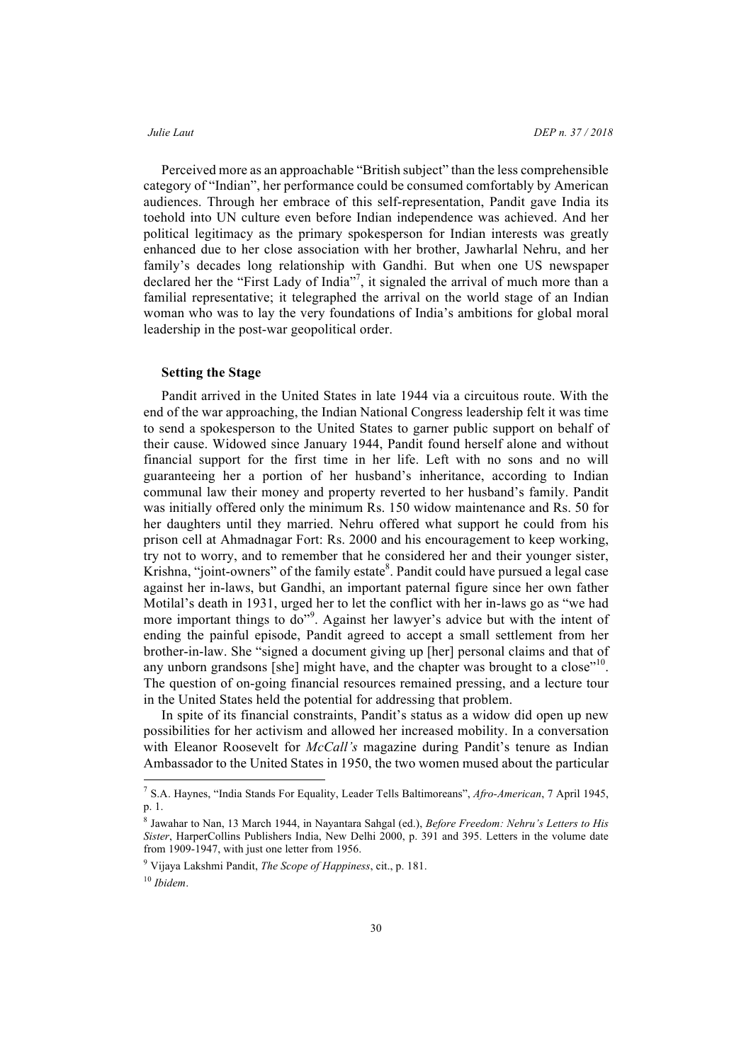Perceived more as an approachable "British subject" than the less comprehensible category of "Indian", her performance could be consumed comfortably by American audiences. Through her embrace of this self-representation, Pandit gave India its toehold into UN culture even before Indian independence was achieved. And her political legitimacy as the primary spokesperson for Indian interests was greatly enhanced due to her close association with her brother, Jawharlal Nehru, and her family's decades long relationship with Gandhi. But when one US newspaper declared her the "First Lady of India" 7 , it signaled the arrival of much more than a familial representative; it telegraphed the arrival on the world stage of an Indian woman who was to lay the very foundations of India's ambitions for global moral leadership in the post-war geopolitical order.

### **Setting the Stage**

Pandit arrived in the United States in late 1944 via a circuitous route. With the end of the war approaching, the Indian National Congress leadership felt it was time to send a spokesperson to the United States to garner public support on behalf of their cause. Widowed since January 1944, Pandit found herself alone and without financial support for the first time in her life. Left with no sons and no will guaranteeing her a portion of her husband's inheritance, according to Indian communal law their money and property reverted to her husband's family. Pandit was initially offered only the minimum Rs. 150 widow maintenance and Rs. 50 for her daughters until they married. Nehru offered what support he could from his prison cell at Ahmadnagar Fort: Rs. 2000 and his encouragement to keep working, try not to worry, and to remember that he considered her and their younger sister, Krishna, "joint-owners" of the family estate<sup>8</sup>. Pandit could have pursued a legal case against her in-laws, but Gandhi, an important paternal figure since her own father Motilal's death in 1931, urged her to let the conflict with her in-laws go as "we had more important things to do"<sup>9</sup>. Against her lawyer's advice but with the intent of ending the painful episode, Pandit agreed to accept a small settlement from her brother-in-law. She "signed a document giving up [her] personal claims and that of any unborn grandsons [she] might have, and the chapter was brought to a close"<sup>10</sup>. The question of on-going financial resources remained pressing, and a lecture tour in the United States held the potential for addressing that problem.

In spite of its financial constraints, Pandit's status as a widow did open up new possibilities for her activism and allowed her increased mobility. In a conversation with Eleanor Roosevelt for *McCall's* magazine during Pandit's tenure as Indian Ambassador to the United States in 1950, the two women mused about the particular

 <sup>7</sup> S.A. Haynes, "India Stands For Equality, Leader Tells Baltimoreans", *Afro-American*, 7 April 1945, p. 1.

<sup>8</sup> Jawahar to Nan, 13 March 1944, in Nayantara Sahgal (ed.), *Before Freedom: Nehru's Letters to His Sister*, HarperCollins Publishers India, New Delhi 2000, p. 391 and 395. Letters in the volume date from 1909-1947, with just one letter from 1956.

<sup>9</sup> Vijaya Lakshmi Pandit, *The Scope of Happiness*, cit., p. 181.

<sup>10</sup> *Ibidem*.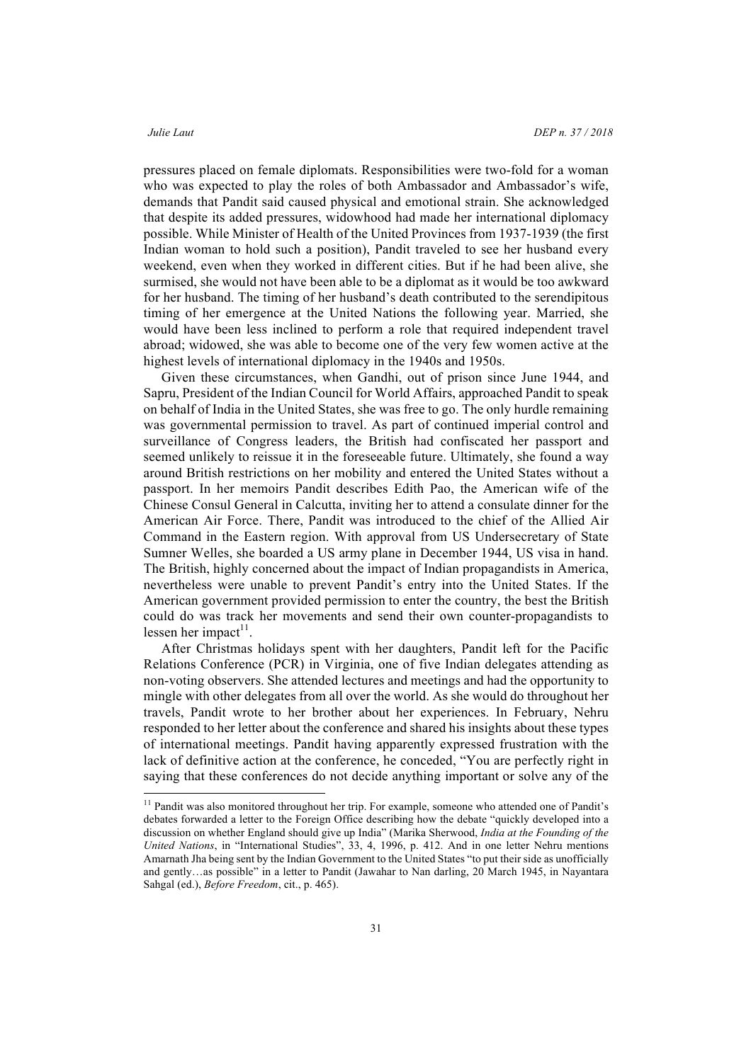pressures placed on female diplomats. Responsibilities were two-fold for a woman who was expected to play the roles of both Ambassador and Ambassador's wife, demands that Pandit said caused physical and emotional strain. She acknowledged that despite its added pressures, widowhood had made her international diplomacy possible. While Minister of Health of the United Provinces from 1937-1939 (the first Indian woman to hold such a position), Pandit traveled to see her husband every weekend, even when they worked in different cities. But if he had been alive, she surmised, she would not have been able to be a diplomat as it would be too awkward for her husband. The timing of her husband's death contributed to the serendipitous timing of her emergence at the United Nations the following year. Married, she would have been less inclined to perform a role that required independent travel abroad; widowed, she was able to become one of the very few women active at the highest levels of international diplomacy in the 1940s and 1950s.

Given these circumstances, when Gandhi, out of prison since June 1944, and Sapru, President of the Indian Council for World Affairs, approached Pandit to speak on behalf of India in the United States, she was free to go. The only hurdle remaining was governmental permission to travel. As part of continued imperial control and surveillance of Congress leaders, the British had confiscated her passport and seemed unlikely to reissue it in the foreseeable future. Ultimately, she found a way around British restrictions on her mobility and entered the United States without a passport. In her memoirs Pandit describes Edith Pao, the American wife of the Chinese Consul General in Calcutta, inviting her to attend a consulate dinner for the American Air Force. There, Pandit was introduced to the chief of the Allied Air Command in the Eastern region. With approval from US Undersecretary of State Sumner Welles, she boarded a US army plane in December 1944, US visa in hand. The British, highly concerned about the impact of Indian propagandists in America, nevertheless were unable to prevent Pandit's entry into the United States. If the American government provided permission to enter the country, the best the British could do was track her movements and send their own counter-propagandists to lessen her impact $11$ .

After Christmas holidays spent with her daughters, Pandit left for the Pacific Relations Conference (PCR) in Virginia, one of five Indian delegates attending as non-voting observers. She attended lectures and meetings and had the opportunity to mingle with other delegates from all over the world. As she would do throughout her travels, Pandit wrote to her brother about her experiences. In February, Nehru responded to her letter about the conference and shared his insights about these types of international meetings. Pandit having apparently expressed frustration with the lack of definitive action at the conference, he conceded, "You are perfectly right in saying that these conferences do not decide anything important or solve any of the

<sup>&</sup>lt;sup>11</sup> Pandit was also monitored throughout her trip. For example, someone who attended one of Pandit's debates forwarded a letter to the Foreign Office describing how the debate "quickly developed into a discussion on whether England should give up India" (Marika Sherwood, *India at the Founding of the United Nations*, in "International Studies", 33, 4, 1996, p. 412. And in one letter Nehru mentions Amarnath Jha being sent by the Indian Government to the United States "to put their side as unofficially and gently…as possible" in a letter to Pandit (Jawahar to Nan darling, 20 March 1945, in Nayantara Sahgal (ed.), *Before Freedom*, cit., p. 465).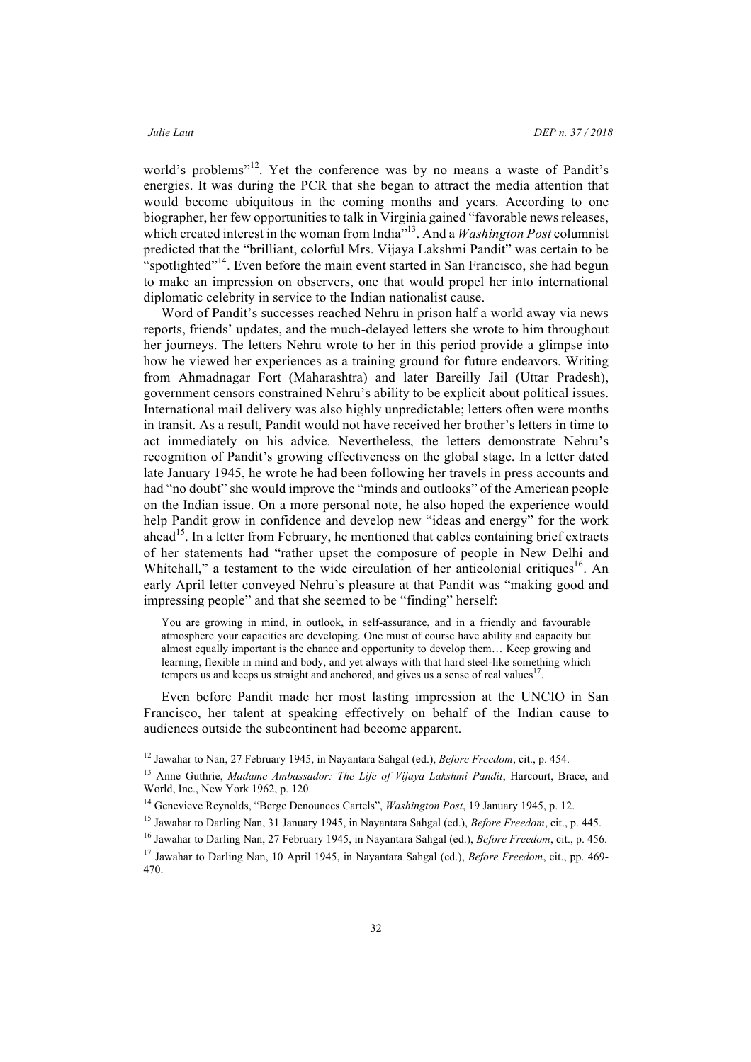world's problems"<sup>12</sup>. Yet the conference was by no means a waste of Pandit's energies. It was during the PCR that she began to attract the media attention that would become ubiquitous in the coming months and years. According to one biographer, her few opportunities to talk in Virginia gained "favorable news releases, which created interest in the woman from India<sup>713</sup>. And a *Washington Post* columnist predicted that the "brilliant, colorful Mrs. Vijaya Lakshmi Pandit" was certain to be "spotlighted"<sup>14</sup>. Even before the main event started in San Francisco, she had begun to make an impression on observers, one that would propel her into international diplomatic celebrity in service to the Indian nationalist cause.

Word of Pandit's successes reached Nehru in prison half a world away via news reports, friends' updates, and the much-delayed letters she wrote to him throughout her journeys. The letters Nehru wrote to her in this period provide a glimpse into how he viewed her experiences as a training ground for future endeavors. Writing from Ahmadnagar Fort (Maharashtra) and later Bareilly Jail (Uttar Pradesh), government censors constrained Nehru's ability to be explicit about political issues. International mail delivery was also highly unpredictable; letters often were months in transit. As a result, Pandit would not have received her brother's letters in time to act immediately on his advice. Nevertheless, the letters demonstrate Nehru's recognition of Pandit's growing effectiveness on the global stage. In a letter dated late January 1945, he wrote he had been following her travels in press accounts and had "no doubt" she would improve the "minds and outlooks" of the American people on the Indian issue. On a more personal note, he also hoped the experience would help Pandit grow in confidence and develop new "ideas and energy" for the work ahead<sup>15</sup>. In a letter from February, he mentioned that cables containing brief extracts of her statements had "rather upset the composure of people in New Delhi and Whitehall," a testament to the wide circulation of her anticolonial critiques<sup>16</sup>. An early April letter conveyed Nehru's pleasure at that Pandit was "making good and impressing people" and that she seemed to be "finding" herself:

You are growing in mind, in outlook, in self-assurance, and in a friendly and favourable atmosphere your capacities are developing. One must of course have ability and capacity but almost equally important is the chance and opportunity to develop them… Keep growing and learning, flexible in mind and body, and yet always with that hard steel-like something which tempers us and keeps us straight and anchored, and gives us a sense of real values $17$ .

Even before Pandit made her most lasting impression at the UNCIO in San Francisco, her talent at speaking effectively on behalf of the Indian cause to audiences outside the subcontinent had become apparent.

 <sup>12</sup> Jawahar to Nan, 27 February 1945, in Nayantara Sahgal (ed.), *Before Freedom*, cit., p. 454.

<sup>&</sup>lt;sup>13</sup> Anne Guthrie, *Madame Ambassador: The Life of Vijaya Lakshmi Pandit*, Harcourt, Brace, and World, Inc., New York 1962, p. 120.

<sup>14</sup> Genevieve Reynolds, "Berge Denounces Cartels", *Washington Post*, 19 January 1945, p. 12.

<sup>15</sup> Jawahar to Darling Nan, 31 January 1945, in Nayantara Sahgal (ed.), *Before Freedom*, cit., p. 445.

<sup>16</sup> Jawahar to Darling Nan, 27 February 1945, in Nayantara Sahgal (ed.), *Before Freedom*, cit., p. 456.

<sup>17</sup> Jawahar to Darling Nan, 10 April 1945, in Nayantara Sahgal (ed.), *Before Freedom*, cit., pp. 469- 470.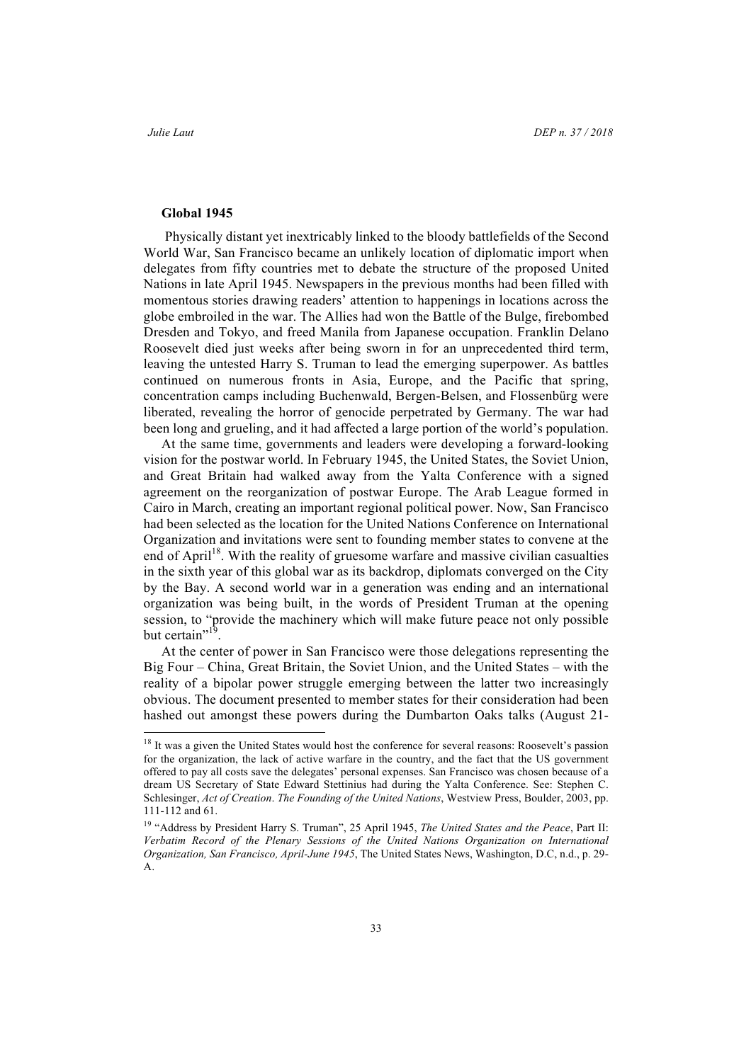## **Global 1945**

Physically distant yet inextricably linked to the bloody battlefields of the Second World War, San Francisco became an unlikely location of diplomatic import when delegates from fifty countries met to debate the structure of the proposed United Nations in late April 1945. Newspapers in the previous months had been filled with momentous stories drawing readers' attention to happenings in locations across the globe embroiled in the war. The Allies had won the Battle of the Bulge, firebombed Dresden and Tokyo, and freed Manila from Japanese occupation. Franklin Delano Roosevelt died just weeks after being sworn in for an unprecedented third term, leaving the untested Harry S. Truman to lead the emerging superpower. As battles continued on numerous fronts in Asia, Europe, and the Pacific that spring, concentration camps including Buchenwald, Bergen-Belsen, and Flossenbürg were liberated, revealing the horror of genocide perpetrated by Germany. The war had been long and grueling, and it had affected a large portion of the world's population.

At the same time, governments and leaders were developing a forward-looking vision for the postwar world. In February 1945, the United States, the Soviet Union, and Great Britain had walked away from the Yalta Conference with a signed agreement on the reorganization of postwar Europe. The Arab League formed in Cairo in March, creating an important regional political power. Now, San Francisco had been selected as the location for the United Nations Conference on International Organization and invitations were sent to founding member states to convene at the end of April<sup>18</sup>. With the reality of gruesome warfare and massive civilian casualties in the sixth year of this global war as its backdrop, diplomats converged on the City by the Bay. A second world war in a generation was ending and an international organization was being built, in the words of President Truman at the opening session, to "provide the machinery which will make future peace not only possible but certain"<sup>19</sup>.

At the center of power in San Francisco were those delegations representing the Big Four – China, Great Britain, the Soviet Union, and the United States – with the reality of a bipolar power struggle emerging between the latter two increasingly obvious. The document presented to member states for their consideration had been hashed out amongst these powers during the Dumbarton Oaks talks (August 21-

<sup>&</sup>lt;sup>18</sup> It was a given the United States would host the conference for several reasons: Roosevelt's passion for the organization, the lack of active warfare in the country, and the fact that the US government offered to pay all costs save the delegates' personal expenses. San Francisco was chosen because of a dream US Secretary of State Edward Stettinius had during the Yalta Conference. See: Stephen C. Schlesinger, *Act of Creation*. *The Founding of the United Nations*, Westview Press, Boulder, 2003, pp. 111-112 and 61.

<sup>19</sup> "Address by President Harry S. Truman", 25 April 1945, *The United States and the Peace*, Part II: *Verbatim Record of the Plenary Sessions of the United Nations Organization on International Organization, San Francisco, April-June 1945*, The United States News, Washington, D.C, n.d., p. 29- A.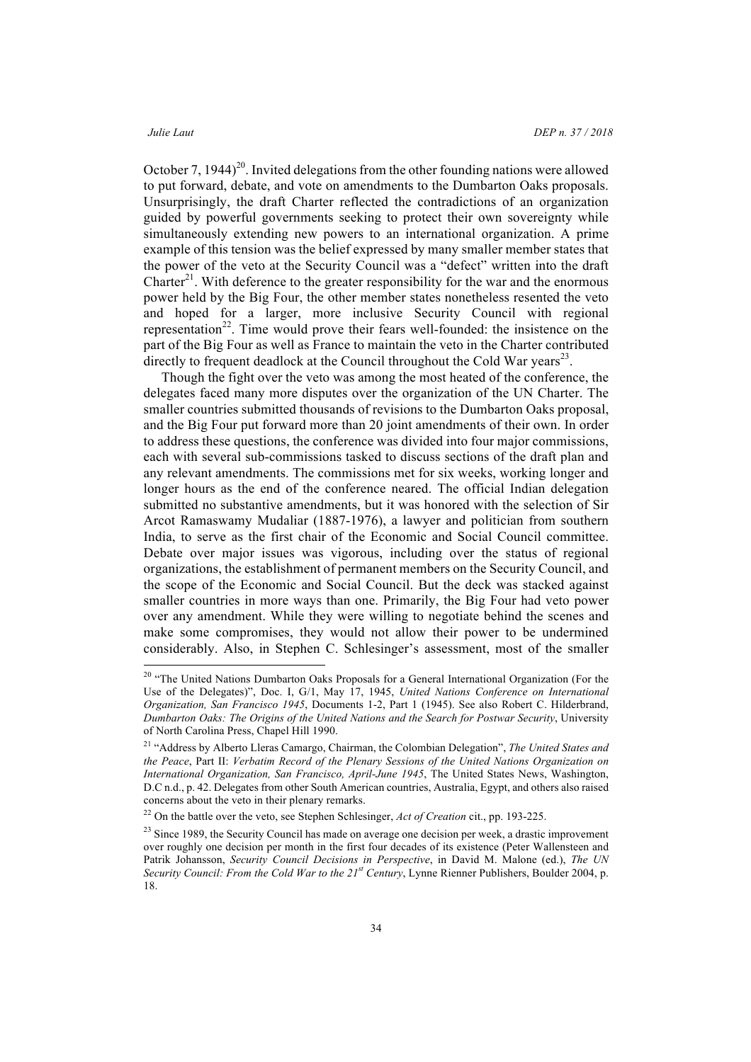October 7, 1944)<sup>20</sup>. Invited delegations from the other founding nations were allowed to put forward, debate, and vote on amendments to the Dumbarton Oaks proposals. Unsurprisingly, the draft Charter reflected the contradictions of an organization guided by powerful governments seeking to protect their own sovereignty while simultaneously extending new powers to an international organization. A prime example of this tension was the belief expressed by many smaller member states that the power of the veto at the Security Council was a "defect" written into the draft Charter<sup>21</sup>. With deference to the greater responsibility for the war and the enormous power held by the Big Four, the other member states nonetheless resented the veto and hoped for a larger, more inclusive Security Council with regional representation 22. Time would prove their fears well-founded: the insistence on the part of the Big Four as well as France to maintain the veto in the Charter contributed directly to frequent deadlock at the Council throughout the Cold War years<sup>23</sup>.

Though the fight over the veto was among the most heated of the conference, the delegates faced many more disputes over the organization of the UN Charter. The smaller countries submitted thousands of revisions to the Dumbarton Oaks proposal, and the Big Four put forward more than 20 joint amendments of their own. In order to address these questions, the conference was divided into four major commissions, each with several sub-commissions tasked to discuss sections of the draft plan and any relevant amendments. The commissions met for six weeks, working longer and longer hours as the end of the conference neared. The official Indian delegation submitted no substantive amendments, but it was honored with the selection of Sir Arcot Ramaswamy Mudaliar (1887-1976), a lawyer and politician from southern India, to serve as the first chair of the Economic and Social Council committee. Debate over major issues was vigorous, including over the status of regional organizations, the establishment of permanent members on the Security Council, and the scope of the Economic and Social Council. But the deck was stacked against smaller countries in more ways than one. Primarily, the Big Four had veto power over any amendment. While they were willing to negotiate behind the scenes and make some compromises, they would not allow their power to be undermined considerably. Also, in Stephen C. Schlesinger's assessment, most of the smaller

<sup>&</sup>lt;sup>20</sup> "The United Nations Dumbarton Oaks Proposals for a General International Organization (For the Use of the Delegates)", Doc. I, G/1, May 17, 1945, *United Nations Conference on International Organization, San Francisco 1945*, Documents 1-2, Part 1 (1945). See also Robert C. Hilderbrand, *Dumbarton Oaks: The Origins of the United Nations and the Search for Postwar Security*, University of North Carolina Press, Chapel Hill 1990.

<sup>21</sup> "Address by Alberto Lleras Camargo, Chairman, the Colombian Delegation", *The United States and the Peace*, Part II: *Verbatim Record of the Plenary Sessions of the United Nations Organization on International Organization, San Francisco, April-June 1945*, The United States News, Washington, D.C n.d., p. 42. Delegates from other South American countries, Australia, Egypt, and others also raised concerns about the veto in their plenary remarks.

<sup>22</sup> On the battle over the veto, see Stephen Schlesinger, *Act of Creation* cit., pp. 193-225.

<sup>&</sup>lt;sup>23</sup> Since 1989, the Security Council has made on average one decision per week, a drastic improvement over roughly one decision per month in the first four decades of its existence (Peter Wallensteen and Patrik Johansson, *Security Council Decisions in Perspective*, in David M. Malone (ed.), *The UN Security Council: From the Cold War to the 21st Century*, Lynne Rienner Publishers, Boulder 2004, p. 18.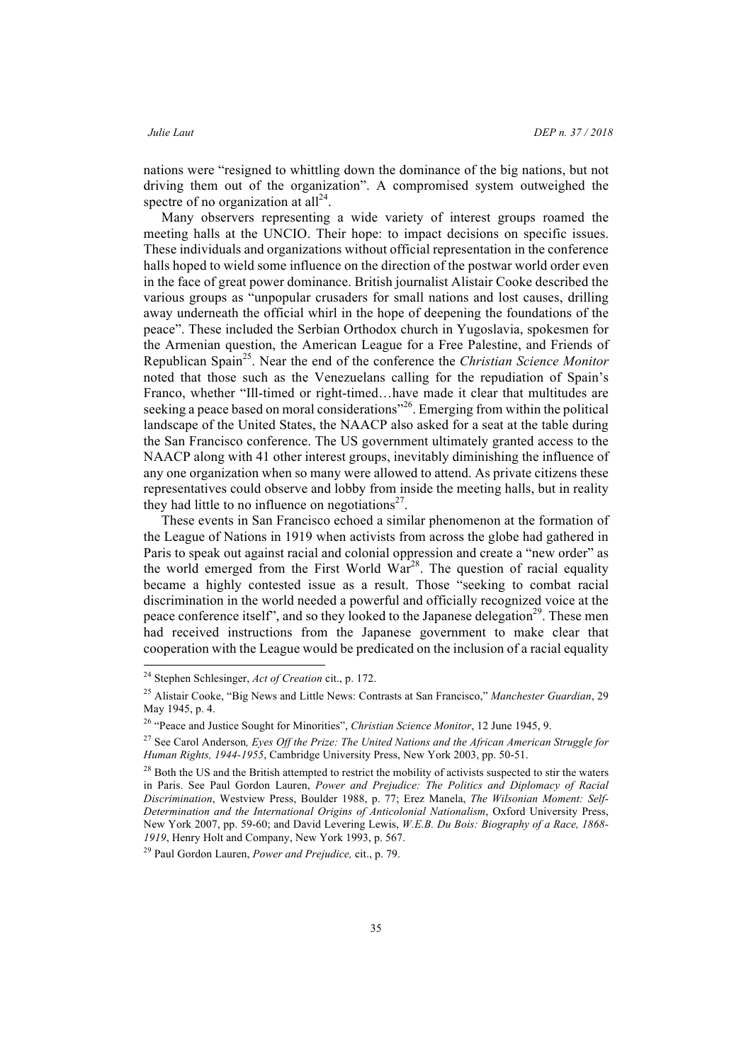nations were "resigned to whittling down the dominance of the big nations, but not driving them out of the organization". A compromised system outweighed the spectre of no organization at  $all<sup>24</sup>$ .

Many observers representing a wide variety of interest groups roamed the meeting halls at the UNCIO. Their hope: to impact decisions on specific issues. These individuals and organizations without official representation in the conference halls hoped to wield some influence on the direction of the postwar world order even in the face of great power dominance. British journalist Alistair Cooke described the various groups as "unpopular crusaders for small nations and lost causes, drilling away underneath the official whirl in the hope of deepening the foundations of the peace". These included the Serbian Orthodox church in Yugoslavia, spokesmen for the Armenian question, the American League for a Free Palestine, and Friends of Republican Spain25. Near the end of the conference the *Christian Science Monitor* noted that those such as the Venezuelans calling for the repudiation of Spain's Franco, whether "Ill-timed or right-timed…have made it clear that multitudes are seeking a peace based on moral considerations<sup>"26</sup>. Emerging from within the political landscape of the United States, the NAACP also asked for a seat at the table during the San Francisco conference. The US government ultimately granted access to the NAACP along with 41 other interest groups, inevitably diminishing the influence of any one organization when so many were allowed to attend. As private citizens these representatives could observe and lobby from inside the meeting halls, but in reality they had little to no influence on negotiations $2^7$ .

These events in San Francisco echoed a similar phenomenon at the formation of the League of Nations in 1919 when activists from across the globe had gathered in Paris to speak out against racial and colonial oppression and create a "new order" as the world emerged from the First World  $\widehat{War}^{28}$ . The question of racial equality became a highly contested issue as a result. Those "seeking to combat racial discrimination in the world needed a powerful and officially recognized voice at the peace conference itself", and so they looked to the Japanese delegation<sup>29</sup>. These men had received instructions from the Japanese government to make clear that cooperation with the League would be predicated on the inclusion of a racial equality

<sup>29</sup> Paul Gordon Lauren, *Power and Prejudice,* cit., p. 79.

 <sup>24</sup> Stephen Schlesinger, *Act of Creation* cit., p. 172.

<sup>25</sup> Alistair Cooke, "Big News and Little News: Contrasts at San Francisco," *Manchester Guardian*, 29 May 1945, p. 4.

<sup>26</sup> "Peace and Justice Sought for Minorities", *Christian Science Monitor*, 12 June 1945, 9.

<sup>27</sup> See Carol Anderson*, Eyes Off the Prize: The United Nations and the African American Struggle for Human Rights, 1944-1955*, Cambridge University Press, New York 2003, pp. 50-51.

<sup>&</sup>lt;sup>28</sup> Both the US and the British attempted to restrict the mobility of activists suspected to stir the waters in Paris. See Paul Gordon Lauren, *Power and Prejudice: The Politics and Diplomacy of Racial Discrimination*, Westview Press, Boulder 1988, p. 77; Erez Manela, *The Wilsonian Moment: Self-Determination and the International Origins of Anticolonial Nationalism*, Oxford University Press, New York 2007, pp. 59-60; and David Levering Lewis, *W.E.B. Du Bois: Biography of a Race, 1868- 1919*, Henry Holt and Company, New York 1993, p. 567.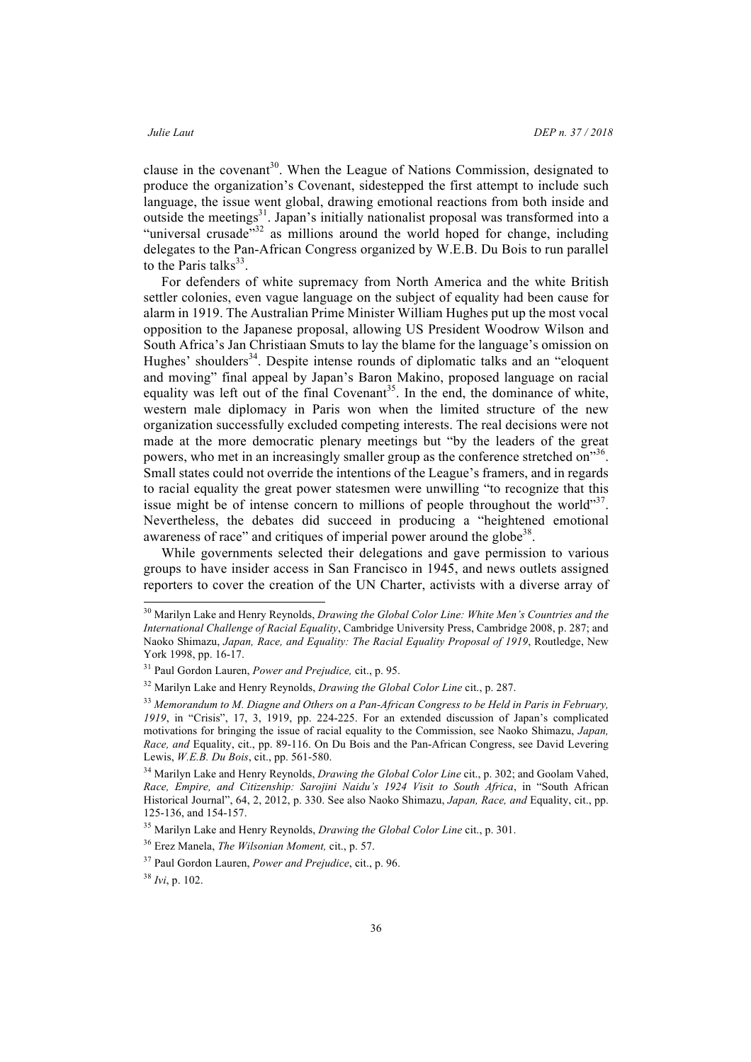clause in the covenant<sup>30</sup>. When the League of Nations Commission, designated to produce the organization's Covenant, sidestepped the first attempt to include such language, the issue went global, drawing emotional reactions from both inside and outside the meetings<sup>31</sup>. Japan's initially nationalist proposal was transformed into a "universal crusade"<sup>32</sup> as millions around the world hoped for change, including delegates to the Pan-African Congress organized by W.E.B. Du Bois to run parallel to the Paris talks $^{33}$ .

For defenders of white supremacy from North America and the white British settler colonies, even vague language on the subject of equality had been cause for alarm in 1919. The Australian Prime Minister William Hughes put up the most vocal opposition to the Japanese proposal, allowing US President Woodrow Wilson and South Africa's Jan Christiaan Smuts to lay the blame for the language's omission on Hughes' shoulders<sup>34</sup>. Despite intense rounds of diplomatic talks and an "eloquent and moving" final appeal by Japan's Baron Makino, proposed language on racial equality was left out of the final Covenant<sup>35</sup>. In the end, the dominance of white, western male diplomacy in Paris won when the limited structure of the new organization successfully excluded competing interests. The real decisions were not made at the more democratic plenary meetings but "by the leaders of the great powers, who met in an increasingly smaller group as the conference stretched on<sup>356</sup>. Small states could not override the intentions of the League's framers, and in regards to racial equality the great power statesmen were unwilling "to recognize that this issue might be of intense concern to millions of people throughout the world"<sup>37</sup>. Nevertheless, the debates did succeed in producing a "heightened emotional awareness of race" and critiques of imperial power around the globe<sup>38</sup>.

While governments selected their delegations and gave permission to various groups to have insider access in San Francisco in 1945, and news outlets assigned reporters to cover the creation of the UN Charter, activists with a diverse array of

 <sup>30</sup> Marilyn Lake and Henry Reynolds, *Drawing the Global Color Line: White Men's Countries and the International Challenge of Racial Equality*, Cambridge University Press, Cambridge 2008, p. 287; and Naoko Shimazu, *Japan, Race, and Equality: The Racial Equality Proposal of 1919*, Routledge, New York 1998, pp. 16-17.

<sup>31</sup> Paul Gordon Lauren, *Power and Prejudice,* cit., p. 95.

<sup>32</sup> Marilyn Lake and Henry Reynolds, *Drawing the Global Color Line* cit., p. 287.

<sup>33</sup> *Memorandum to M. Diagne and Others on a Pan-African Congress to be Held in Paris in February, 1919*, in "Crisis", 17, 3, 1919, pp. 224-225. For an extended discussion of Japan's complicated motivations for bringing the issue of racial equality to the Commission, see Naoko Shimazu, *Japan, Race, and* Equality, cit., pp. 89-116. On Du Bois and the Pan-African Congress, see David Levering Lewis, *W.E.B. Du Bois*, cit., pp. 561-580.

<sup>&</sup>lt;sup>34</sup> Marilyn Lake and Henry Reynolds, *Drawing the Global Color Line* cit., p. 302; and Goolam Vahed, *Race, Empire, and Citizenship: Sarojini Naidu's 1924 Visit to South Africa*, in "South African Historical Journal", 64, 2, 2012, p. 330. See also Naoko Shimazu, *Japan, Race, and* Equality, cit., pp. 125-136, and 154-157.

<sup>35</sup> Marilyn Lake and Henry Reynolds, *Drawing the Global Color Line* cit., p. 301.

<sup>36</sup> Erez Manela, *The Wilsonian Moment,* cit., p. 57.

<sup>37</sup> Paul Gordon Lauren, *Power and Prejudice*, cit., p. 96.

<sup>38</sup> *Ivi*, p. 102.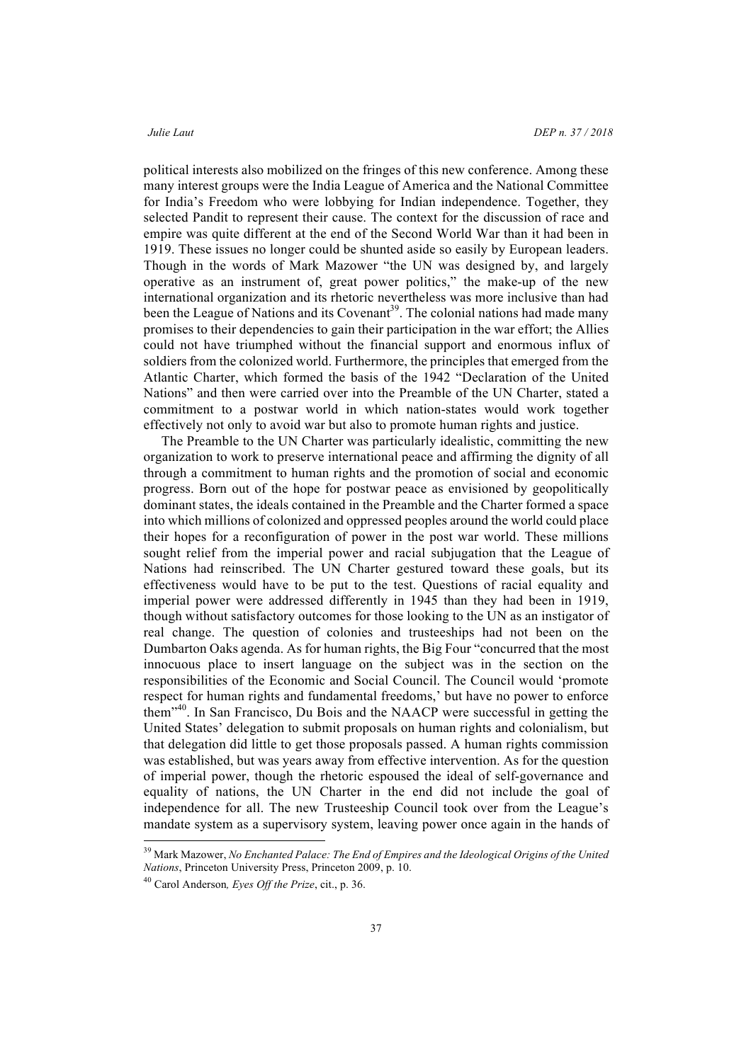political interests also mobilized on the fringes of this new conference. Among these many interest groups were the India League of America and the National Committee for India's Freedom who were lobbying for Indian independence. Together, they selected Pandit to represent their cause. The context for the discussion of race and empire was quite different at the end of the Second World War than it had been in 1919. These issues no longer could be shunted aside so easily by European leaders. Though in the words of Mark Mazower "the UN was designed by, and largely operative as an instrument of, great power politics," the make-up of the new international organization and its rhetoric nevertheless was more inclusive than had been the League of Nations and its Covenant<sup>39</sup>. The colonial nations had made many promises to their dependencies to gain their participation in the war effort; the Allies could not have triumphed without the financial support and enormous influx of soldiers from the colonized world. Furthermore, the principles that emerged from the Atlantic Charter, which formed the basis of the 1942 "Declaration of the United Nations" and then were carried over into the Preamble of the UN Charter, stated a commitment to a postwar world in which nation-states would work together effectively not only to avoid war but also to promote human rights and justice.

The Preamble to the UN Charter was particularly idealistic, committing the new organization to work to preserve international peace and affirming the dignity of all through a commitment to human rights and the promotion of social and economic progress. Born out of the hope for postwar peace as envisioned by geopolitically dominant states, the ideals contained in the Preamble and the Charter formed a space into which millions of colonized and oppressed peoples around the world could place their hopes for a reconfiguration of power in the post war world. These millions sought relief from the imperial power and racial subjugation that the League of Nations had reinscribed. The UN Charter gestured toward these goals, but its effectiveness would have to be put to the test. Questions of racial equality and imperial power were addressed differently in 1945 than they had been in 1919, though without satisfactory outcomes for those looking to the UN as an instigator of real change. The question of colonies and trusteeships had not been on the Dumbarton Oaks agenda. As for human rights, the Big Four "concurred that the most innocuous place to insert language on the subject was in the section on the responsibilities of the Economic and Social Council. The Council would 'promote respect for human rights and fundamental freedoms,' but have no power to enforce them" 40. In San Francisco, Du Bois and the NAACP were successful in getting the United States' delegation to submit proposals on human rights and colonialism, but that delegation did little to get those proposals passed. A human rights commission was established, but was years away from effective intervention. As for the question of imperial power, though the rhetoric espoused the ideal of self-governance and equality of nations, the UN Charter in the end did not include the goal of independence for all. The new Trusteeship Council took over from the League's mandate system as a supervisory system, leaving power once again in the hands of

 <sup>39</sup> Mark Mazower, *No Enchanted Palace: The End of Empires and the Ideological Origins of the United Nations*, Princeton University Press, Princeton 2009, p. 10.

<sup>40</sup> Carol Anderson*, Eyes Off the Prize*, cit., p. 36.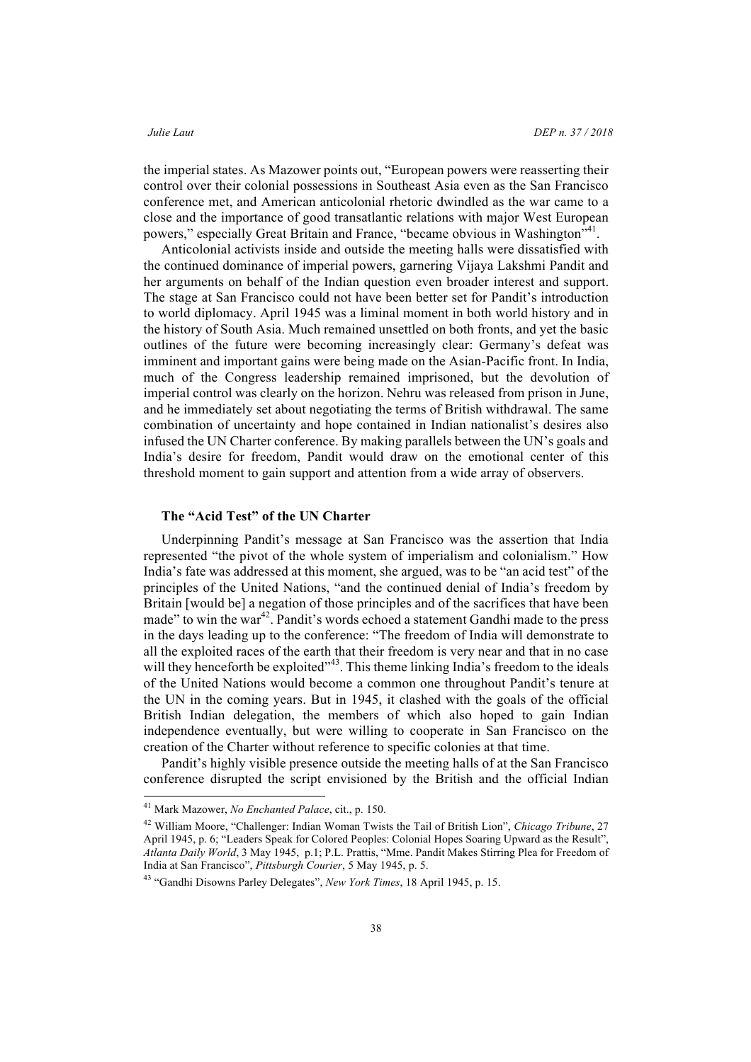the imperial states. As Mazower points out, "European powers were reasserting their control over their colonial possessions in Southeast Asia even as the San Francisco conference met, and American anticolonial rhetoric dwindled as the war came to a close and the importance of good transatlantic relations with major West European powers," especially Great Britain and France, "became obvious in Washington"<sup>41</sup>.

Anticolonial activists inside and outside the meeting halls were dissatisfied with the continued dominance of imperial powers, garnering Vijaya Lakshmi Pandit and her arguments on behalf of the Indian question even broader interest and support. The stage at San Francisco could not have been better set for Pandit's introduction to world diplomacy. April 1945 was a liminal moment in both world history and in the history of South Asia. Much remained unsettled on both fronts, and yet the basic outlines of the future were becoming increasingly clear: Germany's defeat was imminent and important gains were being made on the Asian-Pacific front. In India, much of the Congress leadership remained imprisoned, but the devolution of imperial control was clearly on the horizon. Nehru was released from prison in June, and he immediately set about negotiating the terms of British withdrawal. The same combination of uncertainty and hope contained in Indian nationalist's desires also infused the UN Charter conference. By making parallels between the UN's goals and India's desire for freedom, Pandit would draw on the emotional center of this threshold moment to gain support and attention from a wide array of observers.

### **The "Acid Test" of the UN Charter**

Underpinning Pandit's message at San Francisco was the assertion that India represented "the pivot of the whole system of imperialism and colonialism." How India's fate was addressed at this moment, she argued, was to be "an acid test" of the principles of the United Nations, "and the continued denial of India's freedom by Britain [would be] a negation of those principles and of the sacrifices that have been made" to win the war<sup>42</sup>. Pandit's words echoed a statement Gandhi made to the press in the days leading up to the conference: "The freedom of India will demonstrate to all the exploited races of the earth that their freedom is very near and that in no case will they henceforth be exploited"<sup>43</sup>. This theme linking India's freedom to the ideals of the United Nations would become a common one throughout Pandit's tenure at the UN in the coming years. But in 1945, it clashed with the goals of the official British Indian delegation, the members of which also hoped to gain Indian independence eventually, but were willing to cooperate in San Francisco on the creation of the Charter without reference to specific colonies at that time.

Pandit's highly visible presence outside the meeting halls of at the San Francisco conference disrupted the script envisioned by the British and the official Indian

 <sup>41</sup> Mark Mazower, *No Enchanted Palace*, cit., p. 150.

<sup>42</sup> William Moore, "Challenger: Indian Woman Twists the Tail of British Lion", *Chicago Tribune*, 27 April 1945, p. 6; "Leaders Speak for Colored Peoples: Colonial Hopes Soaring Upward as the Result", *Atlanta Daily World*, 3 May 1945, p.1; P.L. Prattis, "Mme. Pandit Makes Stirring Plea for Freedom of India at San Francisco", *Pittsburgh Courier*, 5 May 1945, p. 5.

<sup>43</sup> "Gandhi Disowns Parley Delegates", *New York Times*, 18 April 1945, p. 15.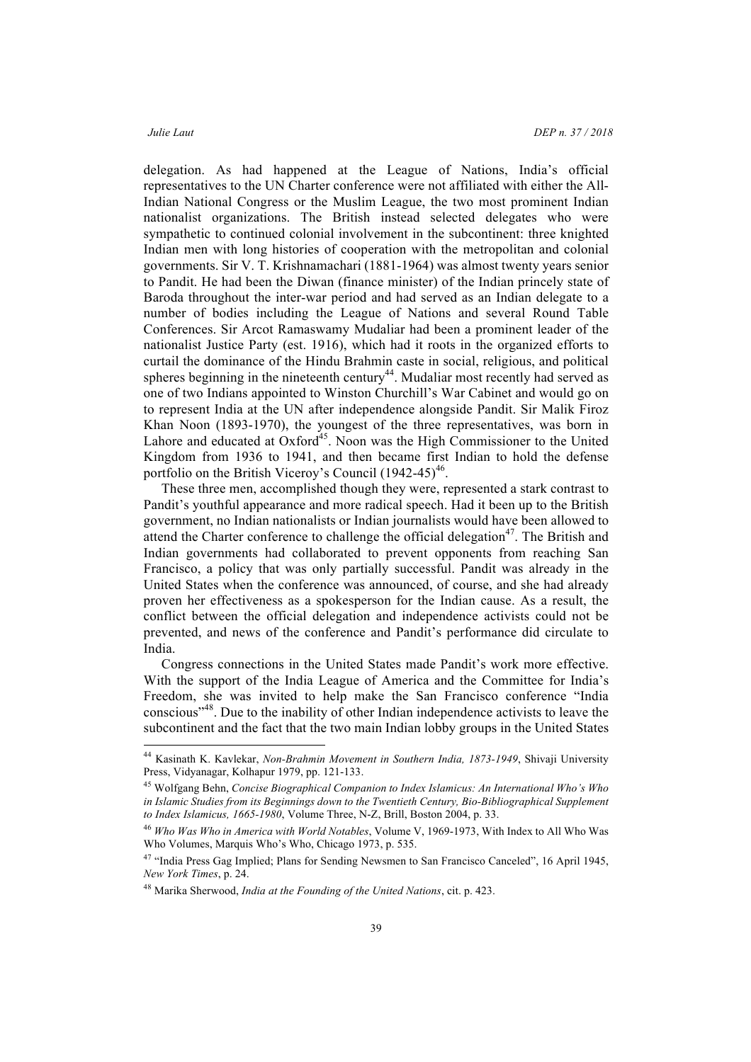delegation. As had happened at the League of Nations, India's official representatives to the UN Charter conference were not affiliated with either the All-Indian National Congress or the Muslim League, the two most prominent Indian nationalist organizations. The British instead selected delegates who were sympathetic to continued colonial involvement in the subcontinent: three knighted Indian men with long histories of cooperation with the metropolitan and colonial governments. Sir V. T. Krishnamachari (1881-1964) was almost twenty years senior to Pandit. He had been the Diwan (finance minister) of the Indian princely state of Baroda throughout the inter-war period and had served as an Indian delegate to a number of bodies including the League of Nations and several Round Table Conferences. Sir Arcot Ramaswamy Mudaliar had been a prominent leader of the nationalist Justice Party (est. 1916), which had it roots in the organized efforts to curtail the dominance of the Hindu Brahmin caste in social, religious, and political spheres beginning in the nineteenth century<sup>44</sup>. Mudaliar most recently had served as one of two Indians appointed to Winston Churchill's War Cabinet and would go on to represent India at the UN after independence alongside Pandit. Sir Malik Firoz Khan Noon (1893-1970), the youngest of the three representatives, was born in Lahore and educated at  $Oxford<sup>45</sup>$ . Noon was the High Commissioner to the United Kingdom from 1936 to 1941, and then became first Indian to hold the defense portfolio on the British Viceroy's Council  $(1942-45)^{46}$ .

These three men, accomplished though they were, represented a stark contrast to Pandit's youthful appearance and more radical speech. Had it been up to the British government, no Indian nationalists or Indian journalists would have been allowed to attend the Charter conference to challenge the official delegation<sup>47</sup>. The British and Indian governments had collaborated to prevent opponents from reaching San Francisco, a policy that was only partially successful. Pandit was already in the United States when the conference was announced, of course, and she had already proven her effectiveness as a spokesperson for the Indian cause. As a result, the conflict between the official delegation and independence activists could not be prevented, and news of the conference and Pandit's performance did circulate to India.

Congress connections in the United States made Pandit's work more effective. With the support of the India League of America and the Committee for India's Freedom, she was invited to help make the San Francisco conference "India conscious<sup> $148$ </sup>. Due to the inability of other Indian independence activists to leave the subcontinent and the fact that the two main Indian lobby groups in the United States

 <sup>44</sup> Kasinath K. Kavlekar, *Non-Brahmin Movement in Southern India, 1873-1949*, Shivaji University Press, Vidyanagar, Kolhapur 1979, pp. 121-133.

<sup>45</sup> Wolfgang Behn, *Concise Biographical Companion to Index Islamicus: An International Who's Who in Islamic Studies from its Beginnings down to the Twentieth Century, Bio-Bibliographical Supplement to Index Islamicus, 1665-1980*, Volume Three, N-Z, Brill, Boston 2004, p. 33.

<sup>46</sup> *Who Was Who in America with World Notables*, Volume V, 1969-1973, With Index to All Who Was Who Volumes, Marquis Who's Who, Chicago 1973, p. 535.

<sup>&</sup>lt;sup>47</sup> "India Press Gag Implied; Plans for Sending Newsmen to San Francisco Canceled", 16 April 1945, *New York Times*, p. 24.

<sup>48</sup> Marika Sherwood, *India at the Founding of the United Nations*, cit. p. 423.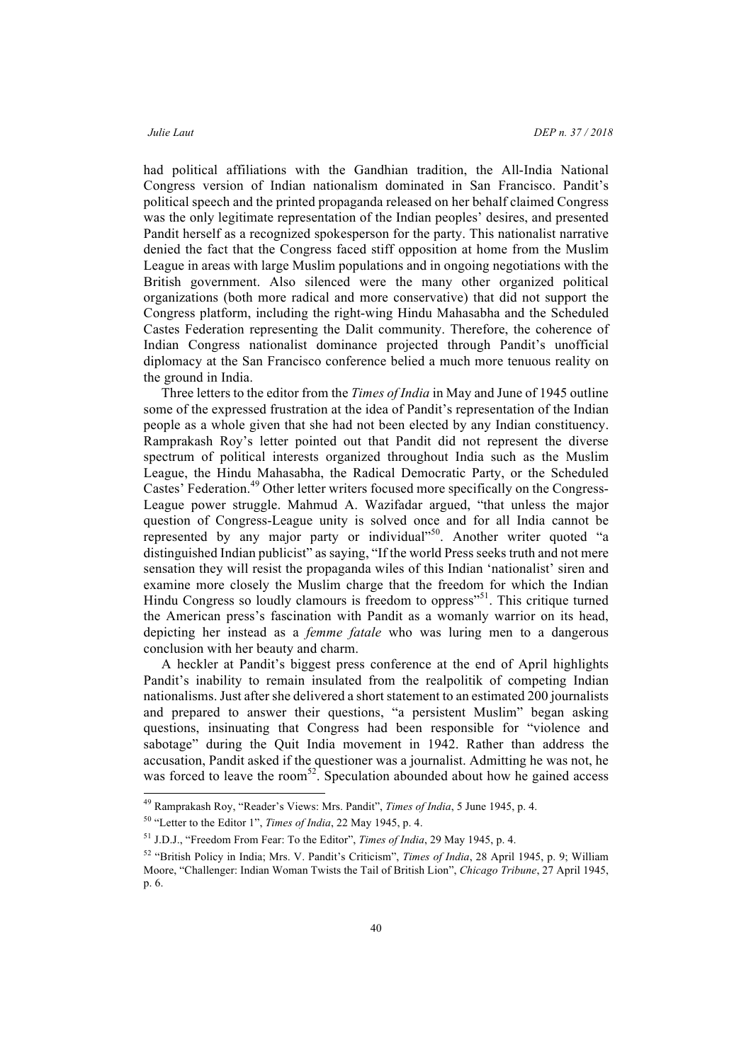had political affiliations with the Gandhian tradition, the All-India National Congress version of Indian nationalism dominated in San Francisco. Pandit's political speech and the printed propaganda released on her behalf claimed Congress was the only legitimate representation of the Indian peoples' desires, and presented Pandit herself as a recognized spokesperson for the party. This nationalist narrative denied the fact that the Congress faced stiff opposition at home from the Muslim League in areas with large Muslim populations and in ongoing negotiations with the British government. Also silenced were the many other organized political organizations (both more radical and more conservative) that did not support the Congress platform, including the right-wing Hindu Mahasabha and the Scheduled Castes Federation representing the Dalit community. Therefore, the coherence of Indian Congress nationalist dominance projected through Pandit's unofficial diplomacy at the San Francisco conference belied a much more tenuous reality on the ground in India.

Three letters to the editor from the *Times of India* in May and June of 1945 outline some of the expressed frustration at the idea of Pandit's representation of the Indian people as a whole given that she had not been elected by any Indian constituency. Ramprakash Roy's letter pointed out that Pandit did not represent the diverse spectrum of political interests organized throughout India such as the Muslim League, the Hindu Mahasabha, the Radical Democratic Party, or the Scheduled Castes' Federation.<sup>49</sup> Other letter writers focused more specifically on the Congress-League power struggle. Mahmud A. Wazifadar argued, "that unless the major question of Congress-League unity is solved once and for all India cannot be represented by any major party or individual"<sup>50</sup>. Another writer quoted "a distinguished Indian publicist" as saying, "If the world Press seeks truth and not mere sensation they will resist the propaganda wiles of this Indian 'nationalist' siren and examine more closely the Muslim charge that the freedom for which the Indian Hindu Congress so loudly clamours is freedom to oppress<sup>"51</sup>. This critique turned the American press's fascination with Pandit as a womanly warrior on its head, depicting her instead as a *femme fatale* who was luring men to a dangerous conclusion with her beauty and charm.

A heckler at Pandit's biggest press conference at the end of April highlights Pandit's inability to remain insulated from the realpolitik of competing Indian nationalisms. Just after she delivered a short statement to an estimated 200 journalists and prepared to answer their questions, "a persistent Muslim" began asking questions, insinuating that Congress had been responsible for "violence and sabotage" during the Quit India movement in 1942. Rather than address the accusation, Pandit asked if the questioner was a journalist. Admitting he was not, he was forced to leave the room<sup>52</sup>. Speculation abounded about how he gained access

 <sup>49</sup> Ramprakash Roy, "Reader's Views: Mrs. Pandit", *Times of India*, 5 June 1945, p. 4.

<sup>50</sup> "Letter to the Editor 1", *Times of India*, 22 May 1945, p. 4.

<sup>51</sup> J.D.J., "Freedom From Fear: To the Editor", *Times of India*, 29 May 1945, p. 4.

<sup>52</sup> "British Policy in India; Mrs. V. Pandit's Criticism", *Times of India*, 28 April 1945, p. 9; William Moore, "Challenger: Indian Woman Twists the Tail of British Lion", *Chicago Tribune*, 27 April 1945, p. 6.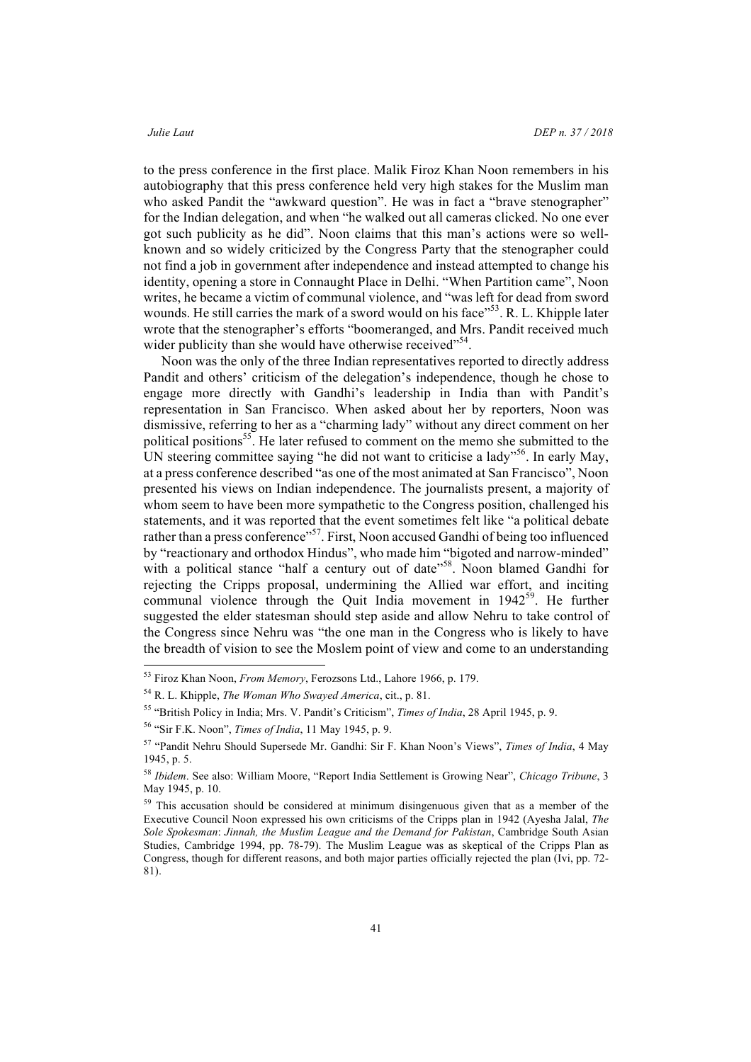to the press conference in the first place. Malik Firoz Khan Noon remembers in his autobiography that this press conference held very high stakes for the Muslim man who asked Pandit the "awkward question". He was in fact a "brave stenographer" for the Indian delegation, and when "he walked out all cameras clicked. No one ever got such publicity as he did". Noon claims that this man's actions were so wellknown and so widely criticized by the Congress Party that the stenographer could not find a job in government after independence and instead attempted to change his identity, opening a store in Connaught Place in Delhi. "When Partition came", Noon writes, he became a victim of communal violence, and "was left for dead from sword wounds. He still carries the mark of a sword would on his face"<sup>53</sup>. R. L. Khipple later wrote that the stenographer's efforts "boomeranged, and Mrs. Pandit received much wider publicity than she would have otherwise received"<sup>54</sup>.

Noon was the only of the three Indian representatives reported to directly address Pandit and others' criticism of the delegation's independence, though he chose to engage more directly with Gandhi's leadership in India than with Pandit's representation in San Francisco. When asked about her by reporters, Noon was dismissive, referring to her as a "charming lady" without any direct comment on her political positions<sup>55</sup>. He later refused to comment on the memo she submitted to the UN steering committee saying "he did not want to criticise a lady"<sup>56</sup>. In early May, at a press conference described "as one of the most animated at San Francisco", Noon presented his views on Indian independence. The journalists present, a majority of whom seem to have been more sympathetic to the Congress position, challenged his statements, and it was reported that the event sometimes felt like "a political debate rather than a press conference"<sup>57</sup>. First, Noon accused Gandhi of being too influenced by "reactionary and orthodox Hindus", who made him "bigoted and narrow-minded" with a political stance "half a century out of date"<sup>58</sup>. Noon blamed Gandhi for rejecting the Cripps proposal, undermining the Allied war effort, and inciting communal violence through the Quit India movement in  $1942^{59}$ . He further suggested the elder statesman should step aside and allow Nehru to take control of the Congress since Nehru was "the one man in the Congress who is likely to have the breadth of vision to see the Moslem point of view and come to an understanding

 <sup>53</sup> Firoz Khan Noon, *From Memory*, Ferozsons Ltd., Lahore 1966, p. 179.

<sup>54</sup> R. L. Khipple, *The Woman Who Swayed America*, cit., p. 81.

<sup>55</sup> "British Policy in India; Mrs. V. Pandit's Criticism", *Times of India*, 28 April 1945, p. 9.

<sup>56</sup> "Sir F.K. Noon", *Times of India*, 11 May 1945, p. 9.

<sup>57</sup> "Pandit Nehru Should Supersede Mr. Gandhi: Sir F. Khan Noon's Views", *Times of India*, 4 May 1945, p. 5.

<sup>58</sup> *Ibidem*. See also: William Moore, "Report India Settlement is Growing Near", *Chicago Tribune*, 3 May 1945, p. 10.

<sup>&</sup>lt;sup>59</sup> This accusation should be considered at minimum disingenuous given that as a member of the Executive Council Noon expressed his own criticisms of the Cripps plan in 1942 (Ayesha Jalal, *The Sole Spokesman*: *Jinnah, the Muslim League and the Demand for Pakistan*, Cambridge South Asian Studies, Cambridge 1994, pp. 78-79). The Muslim League was as skeptical of the Cripps Plan as Congress, though for different reasons, and both major parties officially rejected the plan (Ivi, pp. 72- 81).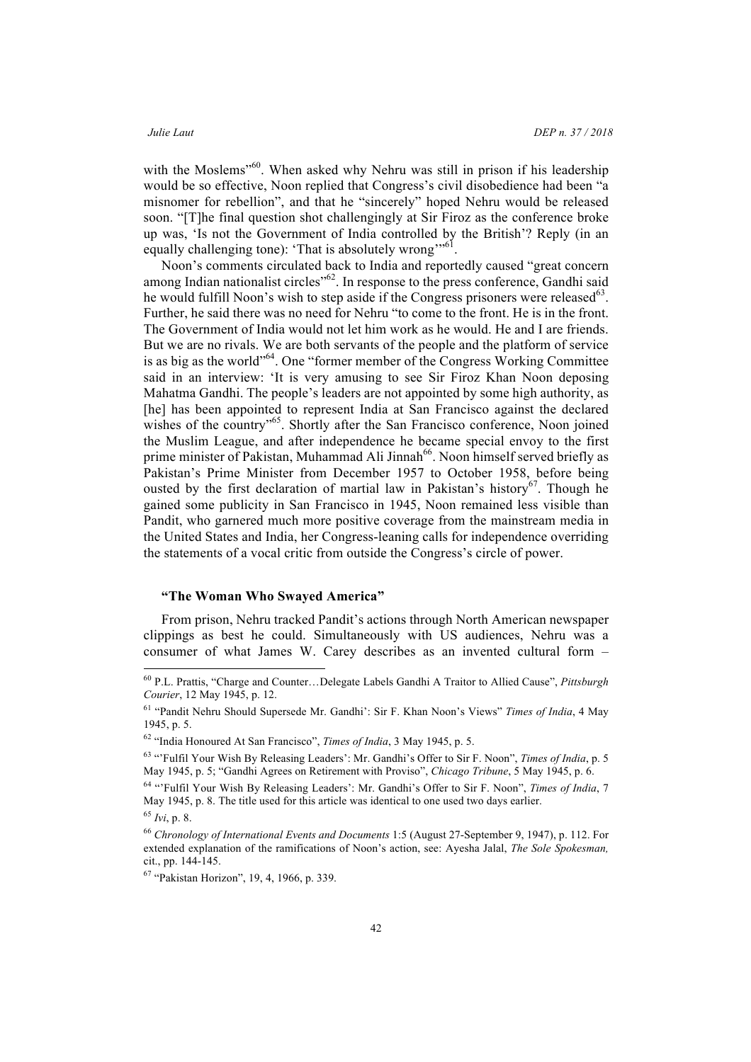with the Moslems<sup>"60</sup>. When asked why Nehru was still in prison if his leadership would be so effective, Noon replied that Congress's civil disobedience had been "a misnomer for rebellion", and that he "sincerely" hoped Nehru would be released soon. "[T]he final question shot challengingly at Sir Firoz as the conference broke up was, 'Is not the Government of India controlled by the British'? Reply (in an equally challenging tone): 'That is absolutely wrong'<sup>1161</sup>.

Noon's comments circulated back to India and reportedly caused "great concern among Indian nationalist circles<sup>162</sup>. In response to the press conference, Gandhi said he would fulfill Noon's wish to step aside if the Congress prisoners were released $^{63}$ . Further, he said there was no need for Nehru "to come to the front. He is in the front. The Government of India would not let him work as he would. He and I are friends. But we are no rivals. We are both servants of the people and the platform of service is as big as the world"<sup>64</sup>. One "former member of the Congress Working Committee said in an interview: 'It is very amusing to see Sir Firoz Khan Noon deposing Mahatma Gandhi. The people's leaders are not appointed by some high authority, as [he] has been appointed to represent India at San Francisco against the declared wishes of the country"<sup>65</sup>. Shortly after the San Francisco conference, Noon joined the Muslim League, and after independence he became special envoy to the first prime minister of Pakistan, Muhammad Ali Jinnah<sup>66</sup>. Noon himself served briefly as Pakistan's Prime Minister from December 1957 to October 1958, before being ousted by the first declaration of martial law in Pakistan's history<sup>67</sup>. Though he gained some publicity in San Francisco in 1945, Noon remained less visible than Pandit, who garnered much more positive coverage from the mainstream media in the United States and India, her Congress-leaning calls for independence overriding the statements of a vocal critic from outside the Congress's circle of power.

### **"The Woman Who Swayed America"**

From prison, Nehru tracked Pandit's actions through North American newspaper clippings as best he could. Simultaneously with US audiences, Nehru was a consumer of what James W. Carey describes as an invented cultural form –

 <sup>60</sup> P.L. Prattis, "Charge and Counter…Delegate Labels Gandhi A Traitor to Allied Cause", *Pittsburgh Courier*, 12 May 1945, p. 12.

<sup>61</sup> "Pandit Nehru Should Supersede Mr. Gandhi': Sir F. Khan Noon's Views" *Times of India*, 4 May 1945, p. 5.

<sup>62</sup> "India Honoured At San Francisco", *Times of India*, 3 May 1945, p. 5.

<sup>63</sup> "'Fulfil Your Wish By Releasing Leaders': Mr. Gandhi's Offer to Sir F. Noon", *Times of India*, p. 5 May 1945, p. 5; "Gandhi Agrees on Retirement with Proviso", *Chicago Tribune*, 5 May 1945, p. 6.

<sup>64</sup> "'Fulfil Your Wish By Releasing Leaders': Mr. Gandhi's Offer to Sir F. Noon", *Times of India*, 7 May 1945, p. 8. The title used for this article was identical to one used two days earlier. <sup>65</sup> *Ivi*, p. 8.

<sup>66</sup> *Chronology of International Events and Documents* 1:5 (August 27-September 9, 1947), p. 112. For extended explanation of the ramifications of Noon's action, see: Ayesha Jalal, *The Sole Spokesman,* cit., pp. 144-145.

<sup>67</sup> "Pakistan Horizon", 19, 4, 1966, p. 339.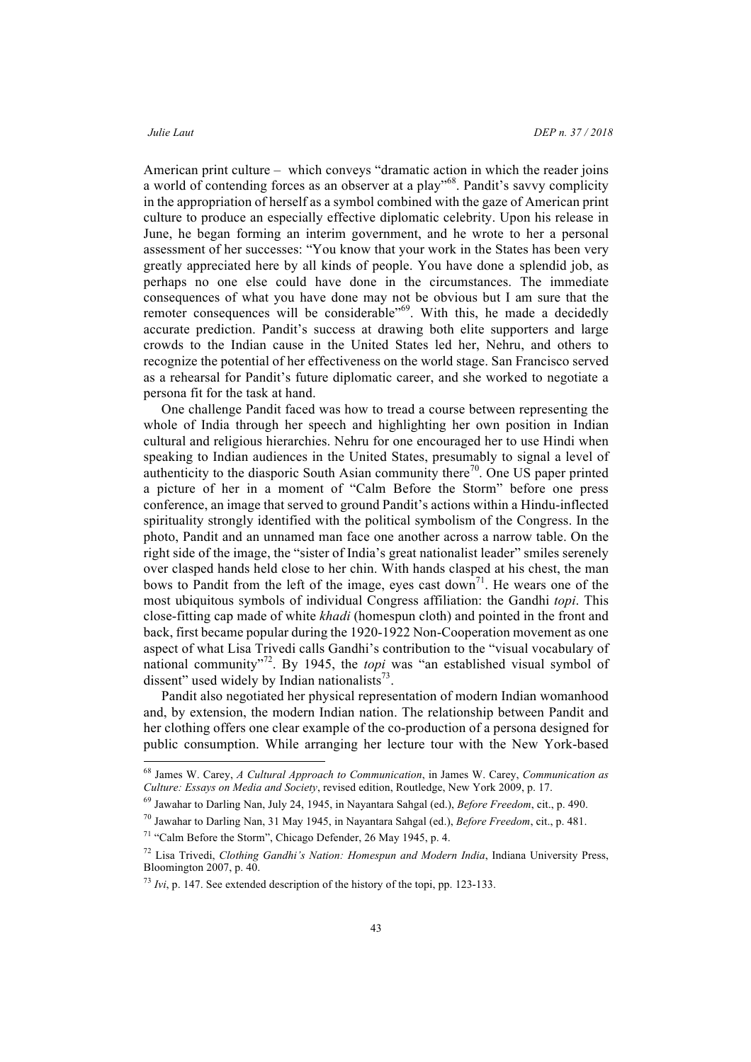American print culture – which conveys "dramatic action in which the reader joins a world of contending forces as an observer at a play"<sup>68</sup>. Pandit's savvy complicity in the appropriation of herself as a symbol combined with the gaze of American print culture to produce an especially effective diplomatic celebrity. Upon his release in June, he began forming an interim government, and he wrote to her a personal assessment of her successes: "You know that your work in the States has been very greatly appreciated here by all kinds of people. You have done a splendid job, as perhaps no one else could have done in the circumstances. The immediate consequences of what you have done may not be obvious but I am sure that the remoter consequences will be considerable<sup>769</sup>. With this, he made a decidedly accurate prediction. Pandit's success at drawing both elite supporters and large crowds to the Indian cause in the United States led her, Nehru, and others to recognize the potential of her effectiveness on the world stage. San Francisco served as a rehearsal for Pandit's future diplomatic career, and she worked to negotiate a persona fit for the task at hand.

One challenge Pandit faced was how to tread a course between representing the whole of India through her speech and highlighting her own position in Indian cultural and religious hierarchies. Nehru for one encouraged her to use Hindi when speaking to Indian audiences in the United States, presumably to signal a level of authenticity to the diasporic South Asian community there<sup>70</sup>. One US paper printed a picture of her in a moment of "Calm Before the Storm" before one press conference, an image that served to ground Pandit's actions within a Hindu-inflected spirituality strongly identified with the political symbolism of the Congress. In the photo, Pandit and an unnamed man face one another across a narrow table. On the right side of the image, the "sister of India's great nationalist leader" smiles serenely over clasped hands held close to her chin. With hands clasped at his chest, the man bows to Pandit from the left of the image, eyes cast down<sup>71</sup>. He wears one of the most ubiquitous symbols of individual Congress affiliation: the Gandhi *topi*. This close-fitting cap made of white *khadi* (homespun cloth) and pointed in the front and back, first became popular during the 1920-1922 Non-Cooperation movement as one aspect of what Lisa Trivedi calls Gandhi's contribution to the "visual vocabulary of national community<sup>"72</sup>. By 1945, the *topi* was "an established visual symbol of dissent" used widely by Indian nationalists $73$ .

Pandit also negotiated her physical representation of modern Indian womanhood and, by extension, the modern Indian nation. The relationship between Pandit and her clothing offers one clear example of the co-production of a persona designed for public consumption. While arranging her lecture tour with the New York-based

 <sup>68</sup> James W. Carey, *A Cultural Approach to Communication*, in James W. Carey, *Communication as Culture: Essays on Media and Society*, revised edition, Routledge, New York 2009, p. 17.

<sup>69</sup> Jawahar to Darling Nan, July 24, 1945, in Nayantara Sahgal (ed.), *Before Freedom*, cit., p. 490.

<sup>70</sup> Jawahar to Darling Nan, 31 May 1945, in Nayantara Sahgal (ed.), *Before Freedom*, cit., p. 481.

<sup>71</sup> "Calm Before the Storm", Chicago Defender, 26 May 1945, p. 4.

<sup>72</sup> Lisa Trivedi, *Clothing Gandhi's Nation: Homespun and Modern India*, Indiana University Press, Bloomington 2007, p. 40.

<sup>73</sup> *Ivi*, p. 147. See extended description of the history of the topi, pp. 123-133.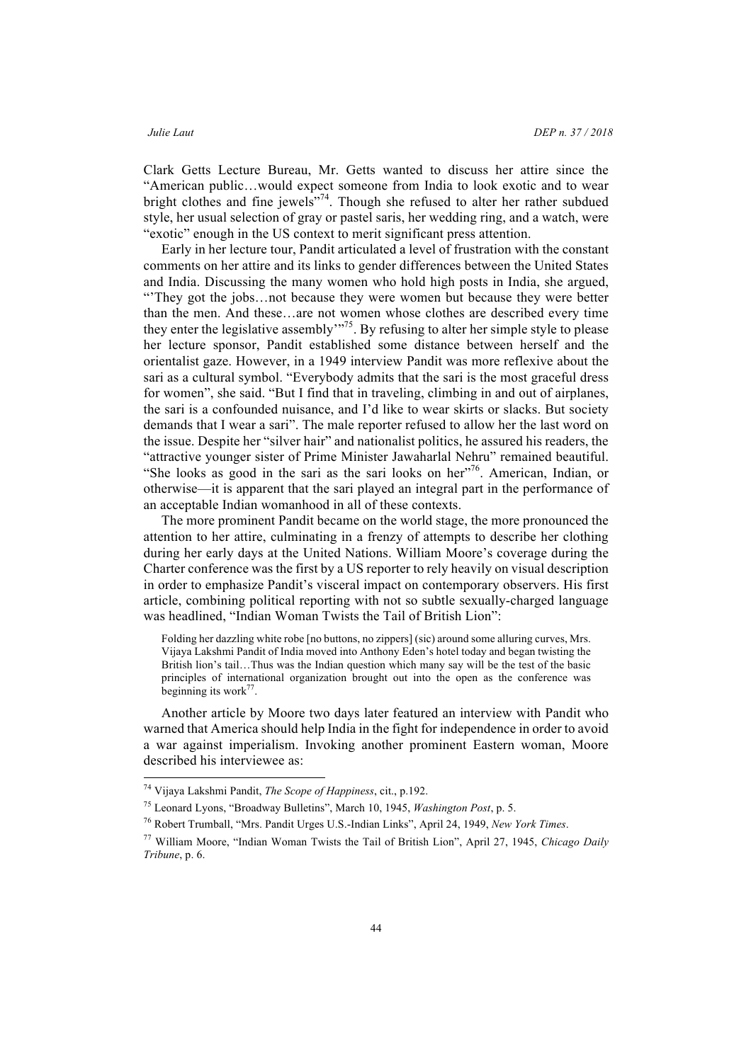Clark Getts Lecture Bureau, Mr. Getts wanted to discuss her attire since the "American public…would expect someone from India to look exotic and to wear bright clothes and fine jewels"<sup>74</sup>. Though she refused to alter her rather subdued style, her usual selection of gray or pastel saris, her wedding ring, and a watch, were "exotic" enough in the US context to merit significant press attention.

Early in her lecture tour, Pandit articulated a level of frustration with the constant comments on her attire and its links to gender differences between the United States and India. Discussing the many women who hold high posts in India, she argued, "'They got the jobs…not because they were women but because they were better than the men. And these…are not women whose clothes are described every time they enter the legislative assembly"<sup>75</sup>. By refusing to alter her simple style to please her lecture sponsor, Pandit established some distance between herself and the orientalist gaze. However, in a 1949 interview Pandit was more reflexive about the sari as a cultural symbol. "Everybody admits that the sari is the most graceful dress for women", she said. "But I find that in traveling, climbing in and out of airplanes, the sari is a confounded nuisance, and I'd like to wear skirts or slacks. But society demands that I wear a sari". The male reporter refused to allow her the last word on the issue. Despite her "silver hair" and nationalist politics, he assured his readers, the "attractive younger sister of Prime Minister Jawaharlal Nehru" remained beautiful. "She looks as good in the sari as the sari looks on her"<sup>76</sup>. American, Indian, or otherwise—it is apparent that the sari played an integral part in the performance of an acceptable Indian womanhood in all of these contexts.

The more prominent Pandit became on the world stage, the more pronounced the attention to her attire, culminating in a frenzy of attempts to describe her clothing during her early days at the United Nations. William Moore's coverage during the Charter conference was the first by a US reporter to rely heavily on visual description in order to emphasize Pandit's visceral impact on contemporary observers. His first article, combining political reporting with not so subtle sexually-charged language was headlined, "Indian Woman Twists the Tail of British Lion":

Folding her dazzling white robe [no buttons, no zippers] (sic) around some alluring curves, Mrs. Vijaya Lakshmi Pandit of India moved into Anthony Eden's hotel today and began twisting the British lion's tail…Thus was the Indian question which many say will be the test of the basic principles of international organization brought out into the open as the conference was beginning its work $^{77}$ .

Another article by Moore two days later featured an interview with Pandit who warned that America should help India in the fight for independence in order to avoid a war against imperialism. Invoking another prominent Eastern woman, Moore described his interviewee as:

 <sup>74</sup> Vijaya Lakshmi Pandit, *The Scope of Happiness*, cit., p.192.

<sup>75</sup> Leonard Lyons, "Broadway Bulletins", March 10, 1945, *Washington Post*, p. 5.

<sup>76</sup> Robert Trumball, "Mrs. Pandit Urges U.S.-Indian Links", April 24, 1949, *New York Times*.

<sup>77</sup> William Moore, "Indian Woman Twists the Tail of British Lion", April 27, 1945, *Chicago Daily Tribune*, p. 6.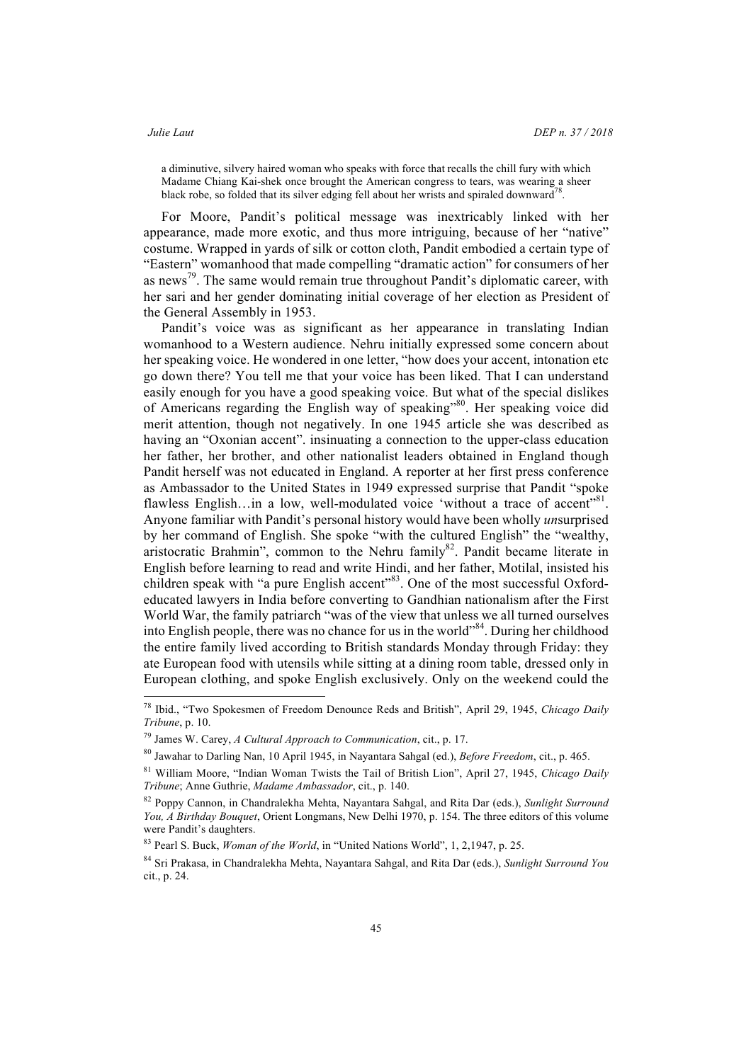a diminutive, silvery haired woman who speaks with force that recalls the chill fury with which Madame Chiang Kai-shek once brought the American congress to tears, was wearing a sheer black robe, so folded that its silver edging fell about her wrists and spiraled downward<sup>7</sup>

For Moore, Pandit's political message was inextricably linked with her appearance, made more exotic, and thus more intriguing, because of her "native" costume. Wrapped in yards of silk or cotton cloth, Pandit embodied a certain type of "Eastern" womanhood that made compelling "dramatic action" for consumers of her as news<sup>79</sup>. The same would remain true throughout Pandit's diplomatic career, with her sari and her gender dominating initial coverage of her election as President of the General Assembly in 1953.

Pandit's voice was as significant as her appearance in translating Indian womanhood to a Western audience. Nehru initially expressed some concern about her speaking voice. He wondered in one letter, "how does your accent, intonation etc go down there? You tell me that your voice has been liked. That I can understand easily enough for you have a good speaking voice. But what of the special dislikes of Americans regarding the English way of speaking"<sup>80</sup>. Her speaking voice did merit attention, though not negatively. In one 1945 article she was described as having an "Oxonian accent". insinuating a connection to the upper-class education her father, her brother, and other nationalist leaders obtained in England though Pandit herself was not educated in England. A reporter at her first press conference as Ambassador to the United States in 1949 expressed surprise that Pandit "spoke flawless English...in a low, well-modulated voice 'without a trace of accent'<sup>81</sup>. Anyone familiar with Pandit's personal history would have been wholly *un*surprised by her command of English. She spoke "with the cultured English" the "wealthy, aristocratic Brahmin", common to the Nehru family $82$ . Pandit became literate in English before learning to read and write Hindi, and her father, Motilal, insisted his children speak with "a pure English accent"<sup>83</sup>. One of the most successful Oxfordeducated lawyers in India before converting to Gandhian nationalism after the First World War, the family patriarch "was of the view that unless we all turned ourselves into English people, there was no chance for us in the world"<sup>84</sup>. During her childhood the entire family lived according to British standards Monday through Friday: they ate European food with utensils while sitting at a dining room table, dressed only in European clothing, and spoke English exclusively. Only on the weekend could the

 <sup>78</sup> Ibid., "Two Spokesmen of Freedom Denounce Reds and British", April 29, 1945, *Chicago Daily Tribune*, p. 10.

<sup>79</sup> James W. Carey, *A Cultural Approach to Communication*, cit., p. 17.

<sup>80</sup> Jawahar to Darling Nan, 10 April 1945, in Nayantara Sahgal (ed.), *Before Freedom*, cit., p. 465.

<sup>81</sup> William Moore, "Indian Woman Twists the Tail of British Lion", April 27, 1945, *Chicago Daily Tribune*; Anne Guthrie, *Madame Ambassador*, cit., p. 140.

<sup>82</sup> Poppy Cannon, in Chandralekha Mehta, Nayantara Sahgal, and Rita Dar (eds.), *Sunlight Surround You, A Birthday Bouquet*, Orient Longmans, New Delhi 1970, p. 154. The three editors of this volume were Pandit's daughters.

<sup>83</sup> Pearl S. Buck, *Woman of the World*, in "United Nations World", 1, 2,1947, p. 25.

<sup>84</sup> Sri Prakasa, in Chandralekha Mehta, Nayantara Sahgal, and Rita Dar (eds.), *Sunlight Surround You*  cit., p. 24.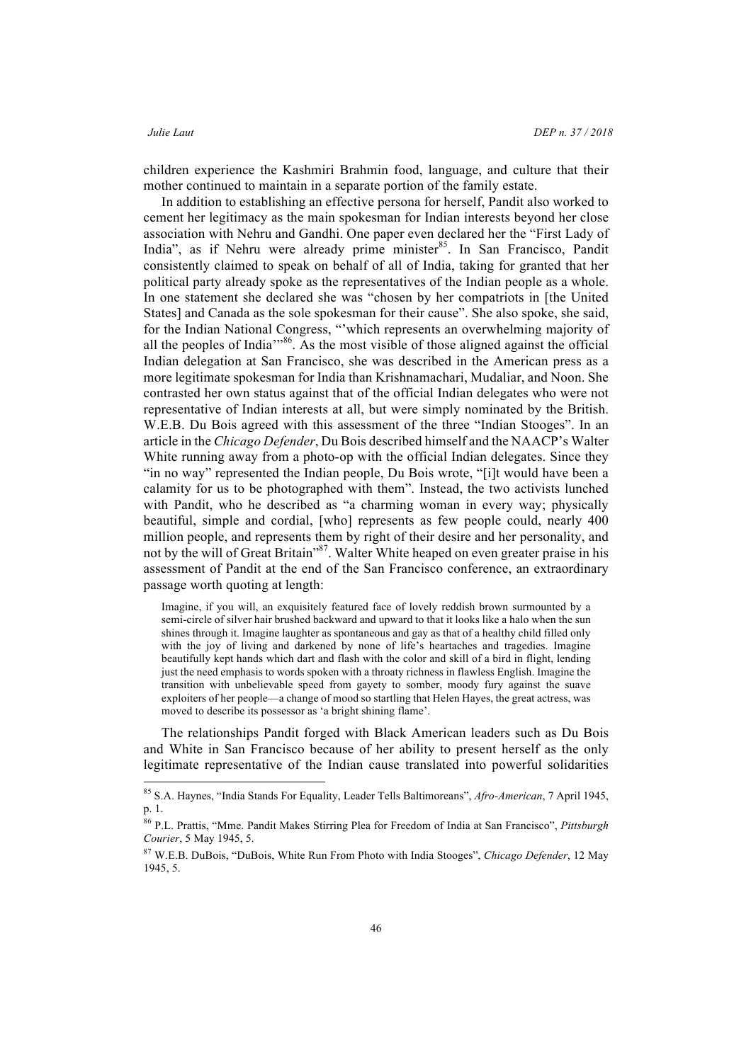children experience the Kashmiri Brahmin food, language, and culture that their mother continued to maintain in a separate portion of the family estate.

In addition to establishing an effective persona for herself, Pandit also worked to cement her legitimacy as the main spokesman for Indian interests beyond her close association with Nehru and Gandhi. One paper even declared her the "First Lady of India", as if Nehru were already prime minister<sup>85</sup>. In San Francisco, Pandit consistently claimed to speak on behalf of all of India, taking for granted that her political party already spoke as the representatives of the Indian people as a whole. In one statement she declared she was "chosen by her compatriots in [the United States] and Canada as the sole spokesman for their cause". She also spoke, she said, for the Indian National Congress, "'which represents an overwhelming majority of all the peoples of India"<sup>86</sup>. As the most visible of those aligned against the official Indian delegation at San Francisco, she was described in the American press as a more legitimate spokesman for India than Krishnamachari, Mudaliar, and Noon. She contrasted her own status against that of the official Indian delegates who were not representative of Indian interests at all, but were simply nominated by the British. W.E.B. Du Bois agreed with this assessment of the three "Indian Stooges". In an article in the *Chicago Defender*, Du Bois described himself and the NAACP's Walter White running away from a photo-op with the official Indian delegates. Since they "in no way" represented the Indian people, Du Bois wrote, "[i]t would have been a calamity for us to be photographed with them". Instead, the two activists lunched with Pandit, who he described as "a charming woman in every way; physically beautiful, simple and cordial, [who] represents as few people could, nearly 400 million people, and represents them by right of their desire and her personality, and not by the will of Great Britain" 87. Walter White heaped on even greater praise in his assessment of Pandit at the end of the San Francisco conference, an extraordinary passage worth quoting at length:

Imagine, if you will, an exquisitely featured face of lovely reddish brown surmounted by a semi-circle of silver hair brushed backward and upward to that it looks like a halo when the sun shines through it. Imagine laughter as spontaneous and gay as that of a healthy child filled only with the joy of living and darkened by none of life's heartaches and tragedies. Imagine beautifully kept hands which dart and flash with the color and skill of a bird in flight, lending just the need emphasis to words spoken with a throaty richness in flawless English. Imagine the transition with unbelievable speed from gayety to somber, moody fury against the suave exploiters of her people—a change of mood so startling that Helen Hayes, the great actress, was moved to describe its possessor as 'a bright shining flame'.

The relationships Pandit forged with Black American leaders such as Du Bois and White in San Francisco because of her ability to present herself as the only legitimate representative of the Indian cause translated into powerful solidarities

 <sup>85</sup> S.A. Haynes, "India Stands For Equality, Leader Tells Baltimoreans", *Afro-American*, 7 April 1945, p. 1.

<sup>86</sup> P.L. Prattis, "Mme. Pandit Makes Stirring Plea for Freedom of India at San Francisco", *Pittsburgh Courier*, 5 May 1945, 5.

<sup>87</sup> W.E.B. DuBois, "DuBois, White Run From Photo with India Stooges", *Chicago Defender*, 12 May 1945, 5.